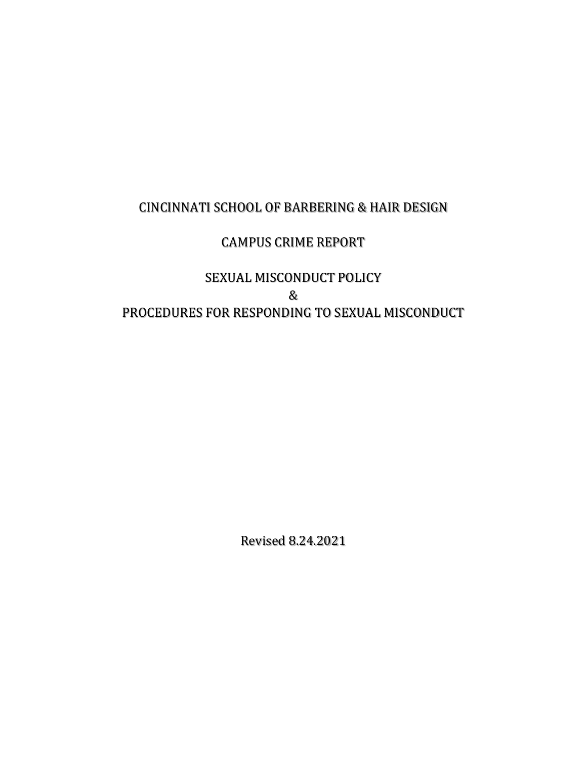# CINCINNATI SCHOOL OF BARBERING & HAIR DESIGN

# CAMPUS CRIME REPORT

# SEXUAL MISCONDUCT POLICY & PROCEDURES FOR RESPONDING TO SEXUAL MISCONDUCT

Revised 8.24.2021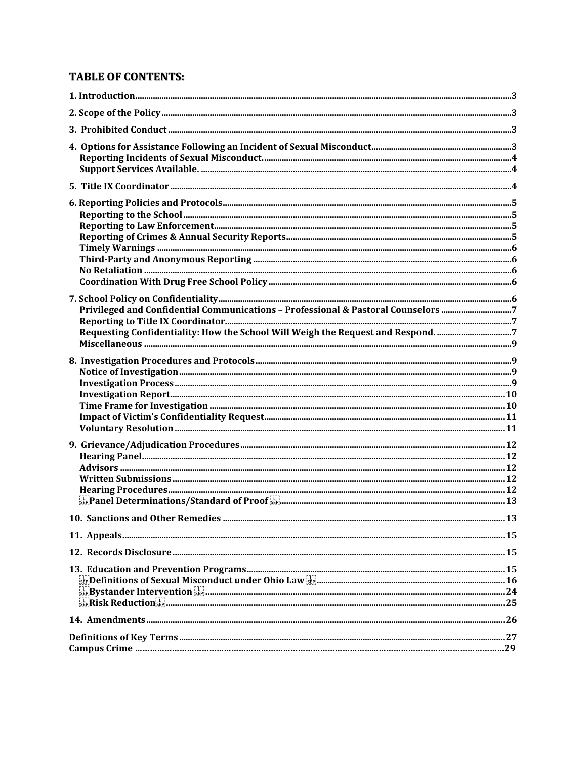# **TABLE OF CONTENTS:**

| Privileged and Confidential Communications - Professional & Pastoral Counselors 7<br>Requesting Confidentiality: How the School Will Weigh the Request and Respond. 7 |    |
|-----------------------------------------------------------------------------------------------------------------------------------------------------------------------|----|
|                                                                                                                                                                       |    |
|                                                                                                                                                                       |    |
| 10. Sanctions and Other Remedies                                                                                                                                      | 13 |
|                                                                                                                                                                       |    |
| EF: Definitions of Sexual Misconduct under Ohio Law Fightman manufacture manufacture and 16                                                                           |    |
|                                                                                                                                                                       |    |
|                                                                                                                                                                       |    |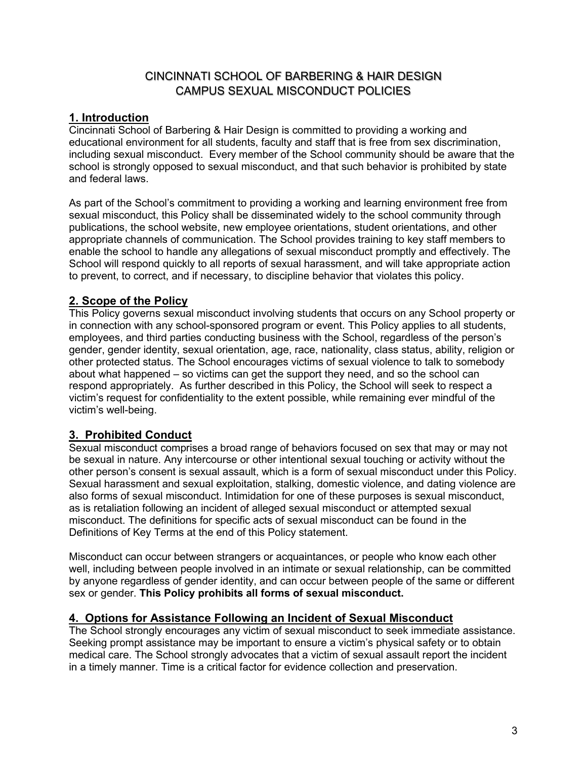## CINCINNATI SCHOOL OF BARBERING & HAIR DESIGN CAMPUS SEXUAL MISCONDUCT POLICIES

## **1. Introduction**

Cincinnati School of Barbering & Hair Design is committed to providing a working and educational environment for all students, faculty and staff that is free from sex discrimination, including sexual misconduct. Every member of the School community should be aware that the school is strongly opposed to sexual misconduct, and that such behavior is prohibited by state and federal laws.

As part of the School's commitment to providing a working and learning environment free from sexual misconduct, this Policy shall be disseminated widely to the school community through publications, the school website, new employee orientations, student orientations, and other appropriate channels of communication. The School provides training to key staff members to enable the school to handle any allegations of sexual misconduct promptly and effectively. The School will respond quickly to all reports of sexual harassment, and will take appropriate action to prevent, to correct, and if necessary, to discipline behavior that violates this policy.

## **2. Scope of the Policy**

This Policy governs sexual misconduct involving students that occurs on any School property or in connection with any school-sponsored program or event. This Policy applies to all students, employees, and third parties conducting business with the School, regardless of the person's gender, gender identity, sexual orientation, age, race, nationality, class status, ability, religion or other protected status. The School encourages victims of sexual violence to talk to somebody about what happened – so victims can get the support they need, and so the school can respond appropriately. As further described in this Policy, the School will seek to respect a victim's request for confidentiality to the extent possible, while remaining ever mindful of the victim's well-being.

## **3. Prohibited Conduct**

Sexual misconduct comprises a broad range of behaviors focused on sex that may or may not be sexual in nature. Any intercourse or other intentional sexual touching or activity without the other person's consent is sexual assault, which is a form of sexual misconduct under this Policy. Sexual harassment and sexual exploitation, stalking, domestic violence, and dating violence are also forms of sexual misconduct. Intimidation for one of these purposes is sexual misconduct, as is retaliation following an incident of alleged sexual misconduct or attempted sexual misconduct. The definitions for specific acts of sexual misconduct can be found in the Definitions of Key Terms at the end of this Policy statement.

Misconduct can occur between strangers or acquaintances, or people who know each other well, including between people involved in an intimate or sexual relationship, can be committed by anyone regardless of gender identity, and can occur between people of the same or different sex or gender. **This Policy prohibits all forms of sexual misconduct.**

## **4. Options for Assistance Following an Incident of Sexual Misconduct**

The School strongly encourages any victim of sexual misconduct to seek immediate assistance. Seeking prompt assistance may be important to ensure a victim's physical safety or to obtain medical care. The School strongly advocates that a victim of sexual assault report the incident in a timely manner. Time is a critical factor for evidence collection and preservation.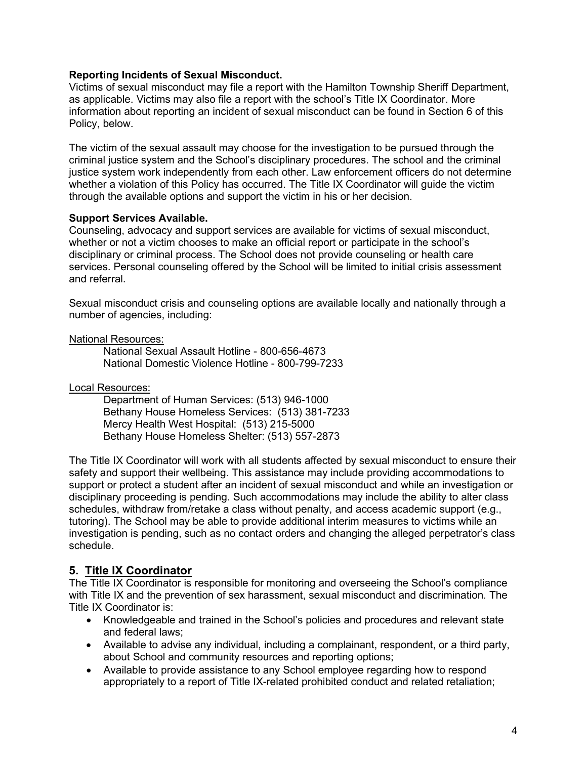## **Reporting Incidents of Sexual Misconduct.**

Victims of sexual misconduct may file a report with the Hamilton Township Sheriff Department, as applicable. Victims may also file a report with the school's Title IX Coordinator. More information about reporting an incident of sexual misconduct can be found in Section 6 of this Policy, below.

The victim of the sexual assault may choose for the investigation to be pursued through the criminal justice system and the School's disciplinary procedures. The school and the criminal justice system work independently from each other. Law enforcement officers do not determine whether a violation of this Policy has occurred. The Title IX Coordinator will guide the victim through the available options and support the victim in his or her decision.

### **Support Services Available.**

Counseling, advocacy and support services are available for victims of sexual misconduct, whether or not a victim chooses to make an official report or participate in the school's disciplinary or criminal process. The School does not provide counseling or health care services. Personal counseling offered by the School will be limited to initial crisis assessment and referral.

Sexual misconduct crisis and counseling options are available locally and nationally through a number of agencies, including:

### National Resources:

National Sexual Assault Hotline - 800-656-4673 National Domestic Violence Hotline - 800-799-7233

### Local Resources:

Department of Human Services: (513) 946-1000 Bethany House Homeless Services: (513) 381-7233 Mercy Health West Hospital: (513) 215-5000 Bethany House Homeless Shelter: (513) 557-2873

The Title IX Coordinator will work with all students affected by sexual misconduct to ensure their safety and support their wellbeing. This assistance may include providing accommodations to support or protect a student after an incident of sexual misconduct and while an investigation or disciplinary proceeding is pending. Such accommodations may include the ability to alter class schedules, withdraw from/retake a class without penalty, and access academic support (e.g., tutoring). The School may be able to provide additional interim measures to victims while an investigation is pending, such as no contact orders and changing the alleged perpetrator's class schedule.

## **5. Title IX Coordinator**

The Title IX Coordinator is responsible for monitoring and overseeing the School's compliance with Title IX and the prevention of sex harassment, sexual misconduct and discrimination. The Title IX Coordinator is:

- Knowledgeable and trained in the School's policies and procedures and relevant state and federal laws;
- Available to advise any individual, including a complainant, respondent, or a third party, about School and community resources and reporting options;
- Available to provide assistance to any School employee regarding how to respond appropriately to a report of Title IX-related prohibited conduct and related retaliation;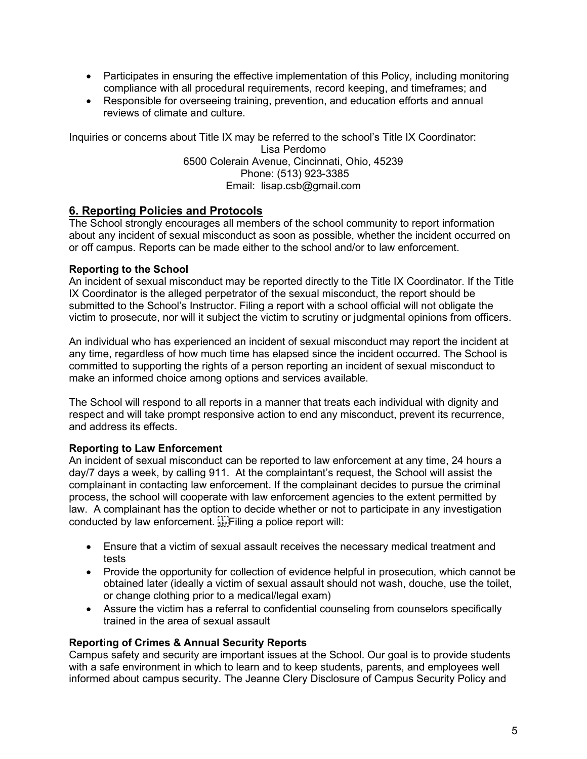- Participates in ensuring the effective implementation of this Policy, including monitoring compliance with all procedural requirements, record keeping, and timeframes; and
- Responsible for overseeing training, prevention, and education efforts and annual reviews of climate and culture.

Inquiries or concerns about Title IX may be referred to the school's Title IX Coordinator: Lisa Perdomo 6500 Colerain Avenue, Cincinnati, Ohio, 45239 Phone: (513) 923-3385 Email: lisap.csb@gmail.com

## **6. Reporting Policies and Protocols**

The School strongly encourages all members of the school community to report information about any incident of sexual misconduct as soon as possible, whether the incident occurred on or off campus. Reports can be made either to the school and/or to law enforcement.

### **Reporting to the School**

An incident of sexual misconduct may be reported directly to the Title IX Coordinator. If the Title IX Coordinator is the alleged perpetrator of the sexual misconduct, the report should be submitted to the School's Instructor. Filing a report with a school official will not obligate the victim to prosecute, nor will it subject the victim to scrutiny or judgmental opinions from officers.

An individual who has experienced an incident of sexual misconduct may report the incident at any time, regardless of how much time has elapsed since the incident occurred. The School is committed to supporting the rights of a person reporting an incident of sexual misconduct to make an informed choice among options and services available.

The School will respond to all reports in a manner that treats each individual with dignity and respect and will take prompt responsive action to end any misconduct, prevent its recurrence, and address its effects.

## **Reporting to Law Enforcement**

An incident of sexual misconduct can be reported to law enforcement at any time, 24 hours a day/7 days a week, by calling 911. At the complaintant's request, the School will assist the complainant in contacting law enforcement. If the complainant decides to pursue the criminal process, the school will cooperate with law enforcement agencies to the extent permitted by law. A complainant has the option to decide whether or not to participate in any investigation conducted by law enforcement. Filing a police report will:

- Ensure that a victim of sexual assault receives the necessary medical treatment and tests
- Provide the opportunity for collection of evidence helpful in prosecution, which cannot be obtained later (ideally a victim of sexual assault should not wash, douche, use the toilet, or change clothing prior to a medical/legal exam)
- Assure the victim has a referral to confidential counseling from counselors specifically trained in the area of sexual assault

## **Reporting of Crimes & Annual Security Reports**

Campus safety and security are important issues at the School. Our goal is to provide students with a safe environment in which to learn and to keep students, parents, and employees well informed about campus security. The Jeanne Clery Disclosure of Campus Security Policy and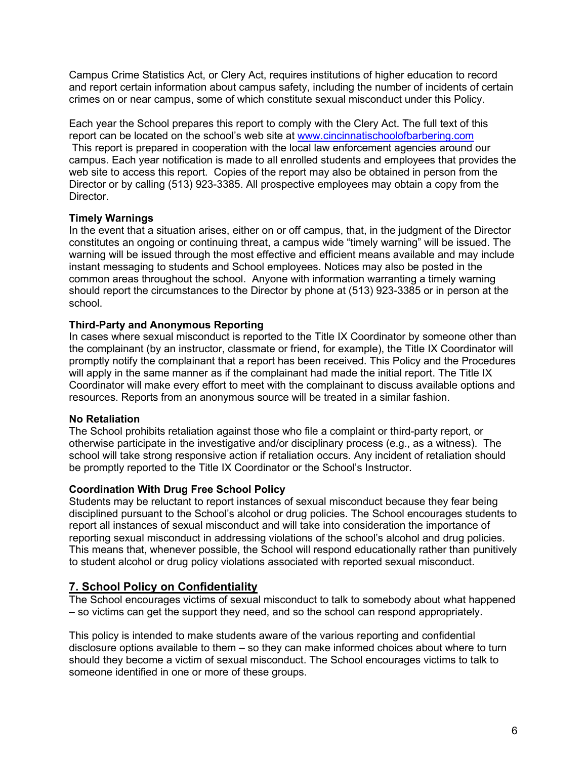Campus Crime Statistics Act, or Clery Act, requires institutions of higher education to record and report certain information about campus safety, including the number of incidents of certain crimes on or near campus, some of which constitute sexual misconduct under this Policy.

Each year the School prepares this report to comply with the Clery Act. The full text of this report can be located on the school's web site at [www.cincinnatischoolofbarbering.com](http://www.cincinnatischoolofbarbering.com/)

This report is prepared in cooperation with the local law enforcement agencies around our campus. Each year notification is made to all enrolled students and employees that provides the web site to access this report. Copies of the report may also be obtained in person from the Director or by calling (513) 923-3385. All prospective employees may obtain a copy from the Director.

## **Timely Warnings**

In the event that a situation arises, either on or off campus, that, in the judgment of the Director constitutes an ongoing or continuing threat, a campus wide "timely warning" will be issued. The warning will be issued through the most effective and efficient means available and may include instant messaging to students and School employees. Notices may also be posted in the common areas throughout the school. Anyone with information warranting a timely warning should report the circumstances to the Director by phone at (513) 923-3385 or in person at the school.

## **Third-Party and Anonymous Reporting**

In cases where sexual misconduct is reported to the Title IX Coordinator by someone other than the complainant (by an instructor, classmate or friend, for example), the Title IX Coordinator will promptly notify the complainant that a report has been received. This Policy and the Procedures will apply in the same manner as if the complainant had made the initial report. The Title IX Coordinator will make every effort to meet with the complainant to discuss available options and resources. Reports from an anonymous source will be treated in a similar fashion.

## **No Retaliation**

The School prohibits retaliation against those who file a complaint or third-party report, or otherwise participate in the investigative and/or disciplinary process (e.g., as a witness). The school will take strong responsive action if retaliation occurs. Any incident of retaliation should be promptly reported to the Title IX Coordinator or the School's Instructor.

## **Coordination With Drug Free School Policy**

Students may be reluctant to report instances of sexual misconduct because they fear being disciplined pursuant to the School's alcohol or drug policies. The School encourages students to report all instances of sexual misconduct and will take into consideration the importance of reporting sexual misconduct in addressing violations of the school's alcohol and drug policies. This means that, whenever possible, the School will respond educationally rather than punitively to student alcohol or drug policy violations associated with reported sexual misconduct.

## **7. School Policy on Confidentiality**

The School encourages victims of sexual misconduct to talk to somebody about what happened – so victims can get the support they need, and so the school can respond appropriately.

This policy is intended to make students aware of the various reporting and confidential disclosure options available to them – so they can make informed choices about where to turn should they become a victim of sexual misconduct. The School encourages victims to talk to someone identified in one or more of these groups.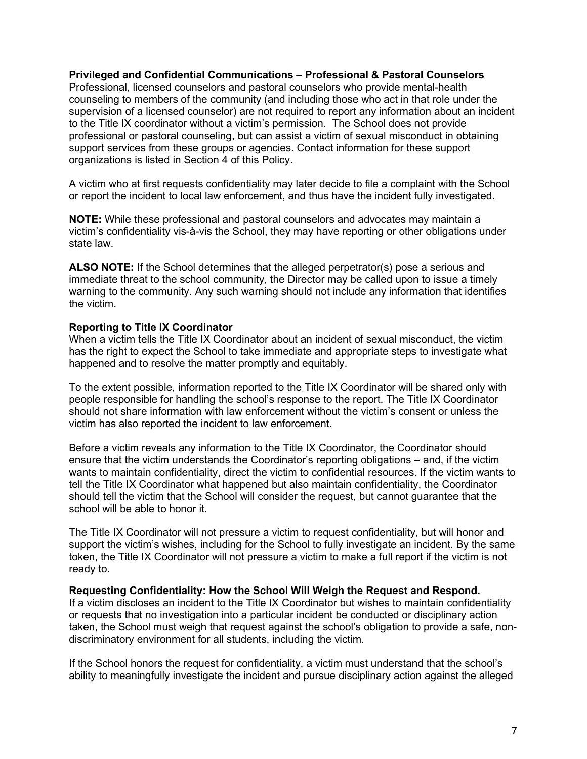### **Privileged and Confidential Communications – Professional & Pastoral Counselors**

Professional, licensed counselors and pastoral counselors who provide mental-health counseling to members of the community (and including those who act in that role under the supervision of a licensed counselor) are not required to report any information about an incident to the Title IX coordinator without a victim's permission. The School does not provide professional or pastoral counseling, but can assist a victim of sexual misconduct in obtaining support services from these groups or agencies. Contact information for these support organizations is listed in Section 4 of this Policy.

A victim who at first requests confidentiality may later decide to file a complaint with the School or report the incident to local law enforcement, and thus have the incident fully investigated.

**NOTE:** While these professional and pastoral counselors and advocates may maintain a victim's confidentiality vis-à-vis the School, they may have reporting or other obligations under state law.

**ALSO NOTE:** If the School determines that the alleged perpetrator(s) pose a serious and immediate threat to the school community, the Director may be called upon to issue a timely warning to the community. Any such warning should not include any information that identifies the victim.

### **Reporting to Title IX Coordinator**

When a victim tells the Title IX Coordinator about an incident of sexual misconduct, the victim has the right to expect the School to take immediate and appropriate steps to investigate what happened and to resolve the matter promptly and equitably.

To the extent possible, information reported to the Title IX Coordinator will be shared only with people responsible for handling the school's response to the report. The Title IX Coordinator should not share information with law enforcement without the victim's consent or unless the victim has also reported the incident to law enforcement.

Before a victim reveals any information to the Title IX Coordinator, the Coordinator should ensure that the victim understands the Coordinator's reporting obligations – and, if the victim wants to maintain confidentiality, direct the victim to confidential resources. If the victim wants to tell the Title IX Coordinator what happened but also maintain confidentiality, the Coordinator should tell the victim that the School will consider the request, but cannot guarantee that the school will be able to honor it.

The Title IX Coordinator will not pressure a victim to request confidentiality, but will honor and support the victim's wishes, including for the School to fully investigate an incident. By the same token, the Title IX Coordinator will not pressure a victim to make a full report if the victim is not ready to.

### **Requesting Confidentiality: How the School Will Weigh the Request and Respond.**

If a victim discloses an incident to the Title IX Coordinator but wishes to maintain confidentiality or requests that no investigation into a particular incident be conducted or disciplinary action taken, the School must weigh that request against the school's obligation to provide a safe, nondiscriminatory environment for all students, including the victim.

If the School honors the request for confidentiality, a victim must understand that the school's ability to meaningfully investigate the incident and pursue disciplinary action against the alleged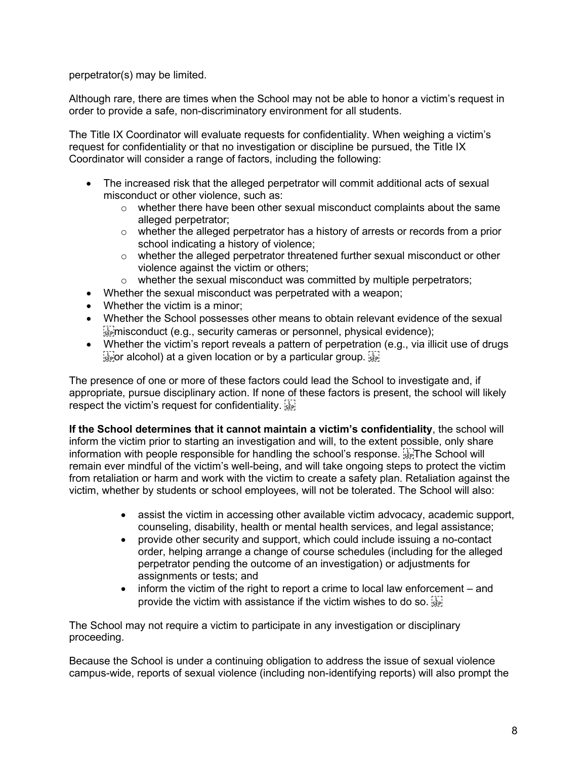perpetrator(s) may be limited.

Although rare, there are times when the School may not be able to honor a victim's request in order to provide a safe, non-discriminatory environment for all students.

The Title IX Coordinator will evaluate requests for confidentiality. When weighing a victim's request for confidentiality or that no investigation or discipline be pursued, the Title IX Coordinator will consider a range of factors, including the following:

- The increased risk that the alleged perpetrator will commit additional acts of sexual misconduct or other violence, such as:
	- $\circ$  whether there have been other sexual misconduct complaints about the same alleged perpetrator;
	- o whether the alleged perpetrator has a history of arrests or records from a prior school indicating a history of violence;
	- $\circ$  whether the alleged perpetrator threatened further sexual misconduct or other violence against the victim or others;
	- o whether the sexual misconduct was committed by multiple perpetrators;
- Whether the sexual misconduct was perpetrated with a weapon;
- Whether the victim is a minor;
- Whether the School possesses other means to obtain relevant evidence of the sexual  $\frac{1}{\text{SE}}$  misconduct (e.g., security cameras or personnel, physical evidence);
- Whether the victim's report reveals a pattern of perpetration (e.g., via illicit use of drugs  $\frac{1}{15}$  or alcohol) at a given location or by a particular group.  $\frac{1}{15}$

The presence of one or more of these factors could lead the School to investigate and, if appropriate, pursue disciplinary action. If none of these factors is present, the school will likely respect the victim's request for confidentiality.

**If the School determines that it cannot maintain a victim's confidentiality**, the school will inform the victim prior to starting an investigation and will, to the extent possible, only share information with people responsible for handling the school's response. Fight he School will remain ever mindful of the victim's well-being, and will take ongoing steps to protect the victim from retaliation or harm and work with the victim to create a safety plan. Retaliation against the victim, whether by students or school employees, will not be tolerated. The School will also:

- assist the victim in accessing other available victim advocacy, academic support, counseling, disability, health or mental health services, and legal assistance;
- provide other security and support, which could include issuing a no-contact order, helping arrange a change of course schedules (including for the alleged perpetrator pending the outcome of an investigation) or adjustments for assignments or tests; and
- inform the victim of the right to report a crime to local law enforcement and provide the victim with assistance if the victim wishes to do so.  $\frac{1}{15}$

The School may not require a victim to participate in any investigation or disciplinary proceeding.

Because the School is under a continuing obligation to address the issue of sexual violence campus-wide, reports of sexual violence (including non-identifying reports) will also prompt the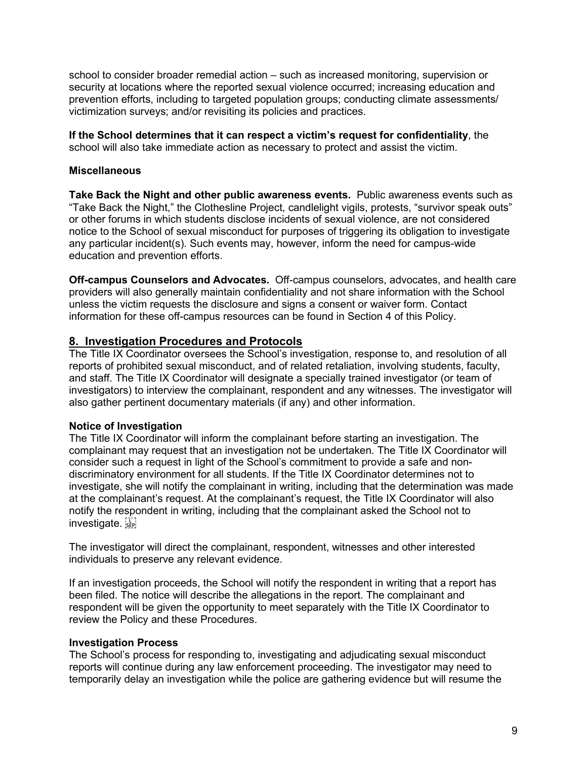school to consider broader remedial action – such as increased monitoring, supervision or security at locations where the reported sexual violence occurred; increasing education and prevention efforts, including to targeted population groups; conducting climate assessments/ victimization surveys; and/or revisiting its policies and practices.

**If the School determines that it can respect a victim's request for confidentiality**, the school will also take immediate action as necessary to protect and assist the victim.

## **Miscellaneous**

**Take Back the Night and other public awareness events.** Public awareness events such as "Take Back the Night," the Clothesline Project, candlelight vigils, protests, "survivor speak outs" or other forums in which students disclose incidents of sexual violence, are not considered notice to the School of sexual misconduct for purposes of triggering its obligation to investigate any particular incident(s). Such events may, however, inform the need for campus-wide education and prevention efforts.

**Off-campus Counselors and Advocates.** Off-campus counselors, advocates, and health care providers will also generally maintain confidentiality and not share information with the School unless the victim requests the disclosure and signs a consent or waiver form. Contact information for these off-campus resources can be found in Section 4 of this Policy.

## **8. Investigation Procedures and Protocols**

The Title IX Coordinator oversees the School's investigation, response to, and resolution of all reports of prohibited sexual misconduct, and of related retaliation, involving students, faculty, and staff. The Title IX Coordinator will designate a specially trained investigator (or team of investigators) to interview the complainant, respondent and any witnesses. The investigator will also gather pertinent documentary materials (if any) and other information.

## **Notice of Investigation**

The Title IX Coordinator will inform the complainant before starting an investigation. The complainant may request that an investigation not be undertaken. The Title IX Coordinator will consider such a request in light of the School's commitment to provide a safe and nondiscriminatory environment for all students. If the Title IX Coordinator determines not to investigate, she will notify the complainant in writing, including that the determination was made at the complainant's request. At the complainant's request, the Title IX Coordinator will also notify the respondent in writing, including that the complainant asked the School not to investigate.

The investigator will direct the complainant, respondent, witnesses and other interested individuals to preserve any relevant evidence.

If an investigation proceeds, the School will notify the respondent in writing that a report has been filed. The notice will describe the allegations in the report. The complainant and respondent will be given the opportunity to meet separately with the Title IX Coordinator to review the Policy and these Procedures.

## **Investigation Process**

The School's process for responding to, investigating and adjudicating sexual misconduct reports will continue during any law enforcement proceeding. The investigator may need to temporarily delay an investigation while the police are gathering evidence but will resume the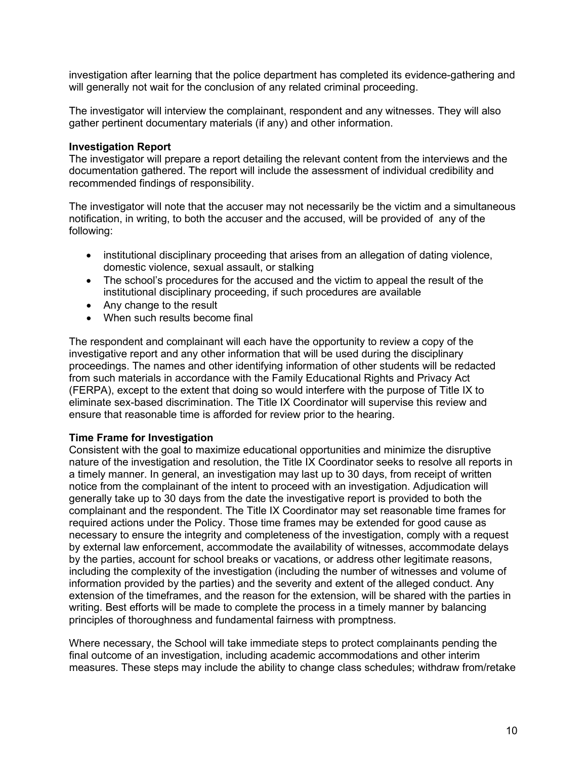investigation after learning that the police department has completed its evidence-gathering and will generally not wait for the conclusion of any related criminal proceeding.

The investigator will interview the complainant, respondent and any witnesses. They will also gather pertinent documentary materials (if any) and other information.

### **Investigation Report**

The investigator will prepare a report detailing the relevant content from the interviews and the documentation gathered. The report will include the assessment of individual credibility and recommended findings of responsibility.

The investigator will note that the accuser may not necessarily be the victim and a simultaneous notification, in writing, to both the accuser and the accused, will be provided of any of the following:

- institutional disciplinary proceeding that arises from an allegation of dating violence, domestic violence, sexual assault, or stalking
- The school's procedures for the accused and the victim to appeal the result of the institutional disciplinary proceeding, if such procedures are available
- Any change to the result
- When such results become final

The respondent and complainant will each have the opportunity to review a copy of the investigative report and any other information that will be used during the disciplinary proceedings. The names and other identifying information of other students will be redacted from such materials in accordance with the Family Educational Rights and Privacy Act (FERPA), except to the extent that doing so would interfere with the purpose of Title IX to eliminate sex-based discrimination. The Title IX Coordinator will supervise this review and ensure that reasonable time is afforded for review prior to the hearing.

### **Time Frame for Investigation**

Consistent with the goal to maximize educational opportunities and minimize the disruptive nature of the investigation and resolution, the Title IX Coordinator seeks to resolve all reports in a timely manner. In general, an investigation may last up to 30 days, from receipt of written notice from the complainant of the intent to proceed with an investigation. Adjudication will generally take up to 30 days from the date the investigative report is provided to both the complainant and the respondent. The Title IX Coordinator may set reasonable time frames for required actions under the Policy. Those time frames may be extended for good cause as necessary to ensure the integrity and completeness of the investigation, comply with a request by external law enforcement, accommodate the availability of witnesses, accommodate delays by the parties, account for school breaks or vacations, or address other legitimate reasons, including the complexity of the investigation (including the number of witnesses and volume of information provided by the parties) and the severity and extent of the alleged conduct. Any extension of the timeframes, and the reason for the extension, will be shared with the parties in writing. Best efforts will be made to complete the process in a timely manner by balancing principles of thoroughness and fundamental fairness with promptness.

Where necessary, the School will take immediate steps to protect complainants pending the final outcome of an investigation, including academic accommodations and other interim measures. These steps may include the ability to change class schedules; withdraw from/retake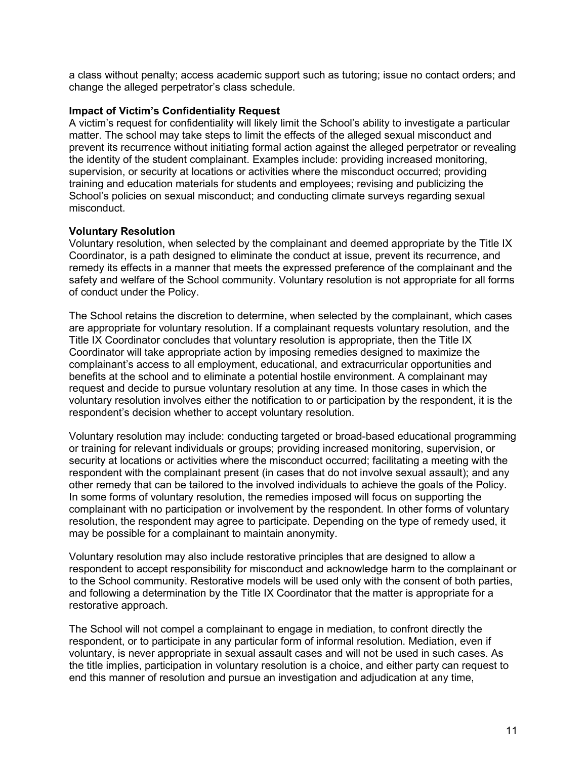a class without penalty; access academic support such as tutoring; issue no contact orders; and change the alleged perpetrator's class schedule.

### **Impact of Victim's Confidentiality Request**

A victim's request for confidentiality will likely limit the School's ability to investigate a particular matter. The school may take steps to limit the effects of the alleged sexual misconduct and prevent its recurrence without initiating formal action against the alleged perpetrator or revealing the identity of the student complainant. Examples include: providing increased monitoring, supervision, or security at locations or activities where the misconduct occurred; providing training and education materials for students and employees; revising and publicizing the School's policies on sexual misconduct; and conducting climate surveys regarding sexual misconduct.

### **Voluntary Resolution**

Voluntary resolution, when selected by the complainant and deemed appropriate by the Title IX Coordinator, is a path designed to eliminate the conduct at issue, prevent its recurrence, and remedy its effects in a manner that meets the expressed preference of the complainant and the safety and welfare of the School community. Voluntary resolution is not appropriate for all forms of conduct under the Policy.

The School retains the discretion to determine, when selected by the complainant, which cases are appropriate for voluntary resolution. If a complainant requests voluntary resolution, and the Title IX Coordinator concludes that voluntary resolution is appropriate, then the Title IX Coordinator will take appropriate action by imposing remedies designed to maximize the complainant's access to all employment, educational, and extracurricular opportunities and benefits at the school and to eliminate a potential hostile environment. A complainant may request and decide to pursue voluntary resolution at any time. In those cases in which the voluntary resolution involves either the notification to or participation by the respondent, it is the respondent's decision whether to accept voluntary resolution.

Voluntary resolution may include: conducting targeted or broad-based educational programming or training for relevant individuals or groups; providing increased monitoring, supervision, or security at locations or activities where the misconduct occurred; facilitating a meeting with the respondent with the complainant present (in cases that do not involve sexual assault); and any other remedy that can be tailored to the involved individuals to achieve the goals of the Policy. In some forms of voluntary resolution, the remedies imposed will focus on supporting the complainant with no participation or involvement by the respondent. In other forms of voluntary resolution, the respondent may agree to participate. Depending on the type of remedy used, it may be possible for a complainant to maintain anonymity.

Voluntary resolution may also include restorative principles that are designed to allow a respondent to accept responsibility for misconduct and acknowledge harm to the complainant or to the School community. Restorative models will be used only with the consent of both parties, and following a determination by the Title IX Coordinator that the matter is appropriate for a restorative approach.

The School will not compel a complainant to engage in mediation, to confront directly the respondent, or to participate in any particular form of informal resolution. Mediation, even if voluntary, is never appropriate in sexual assault cases and will not be used in such cases. As the title implies, participation in voluntary resolution is a choice, and either party can request to end this manner of resolution and pursue an investigation and adjudication at any time,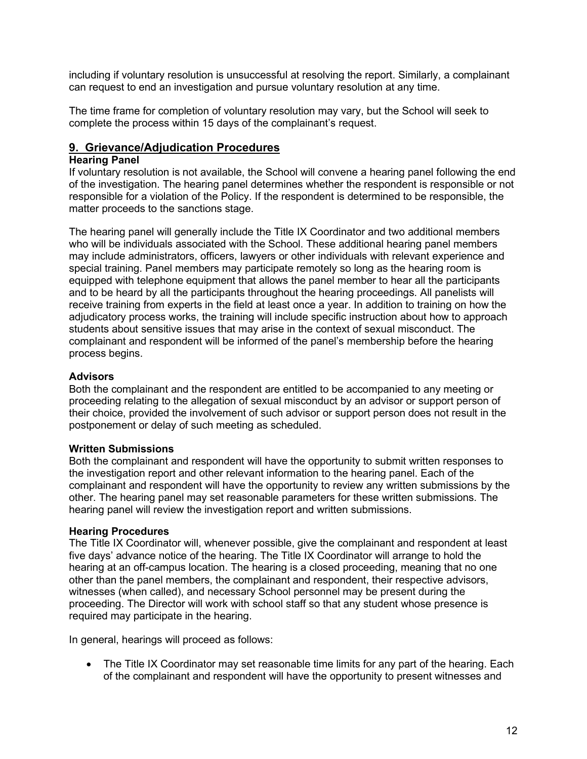including if voluntary resolution is unsuccessful at resolving the report. Similarly, a complainant can request to end an investigation and pursue voluntary resolution at any time.

The time frame for completion of voluntary resolution may vary, but the School will seek to complete the process within 15 days of the complainant's request.

## **9. Grievance/Adjudication Procedures**

### **Hearing Panel**

If voluntary resolution is not available, the School will convene a hearing panel following the end of the investigation. The hearing panel determines whether the respondent is responsible or not responsible for a violation of the Policy. If the respondent is determined to be responsible, the matter proceeds to the sanctions stage.

The hearing panel will generally include the Title IX Coordinator and two additional members who will be individuals associated with the School. These additional hearing panel members may include administrators, officers, lawyers or other individuals with relevant experience and special training. Panel members may participate remotely so long as the hearing room is equipped with telephone equipment that allows the panel member to hear all the participants and to be heard by all the participants throughout the hearing proceedings. All panelists will receive training from experts in the field at least once a year. In addition to training on how the adjudicatory process works, the training will include specific instruction about how to approach students about sensitive issues that may arise in the context of sexual misconduct. The complainant and respondent will be informed of the panel's membership before the hearing process begins.

### **Advisors**

Both the complainant and the respondent are entitled to be accompanied to any meeting or proceeding relating to the allegation of sexual misconduct by an advisor or support person of their choice, provided the involvement of such advisor or support person does not result in the postponement or delay of such meeting as scheduled.

### **Written Submissions**

Both the complainant and respondent will have the opportunity to submit written responses to the investigation report and other relevant information to the hearing panel. Each of the complainant and respondent will have the opportunity to review any written submissions by the other. The hearing panel may set reasonable parameters for these written submissions. The hearing panel will review the investigation report and written submissions.

### **Hearing Procedures**

The Title IX Coordinator will, whenever possible, give the complainant and respondent at least five days' advance notice of the hearing. The Title IX Coordinator will arrange to hold the hearing at an off-campus location. The hearing is a closed proceeding, meaning that no one other than the panel members, the complainant and respondent, their respective advisors, witnesses (when called), and necessary School personnel may be present during the proceeding. The Director will work with school staff so that any student whose presence is required may participate in the hearing.

In general, hearings will proceed as follows:

• The Title IX Coordinator may set reasonable time limits for any part of the hearing. Each of the complainant and respondent will have the opportunity to present witnesses and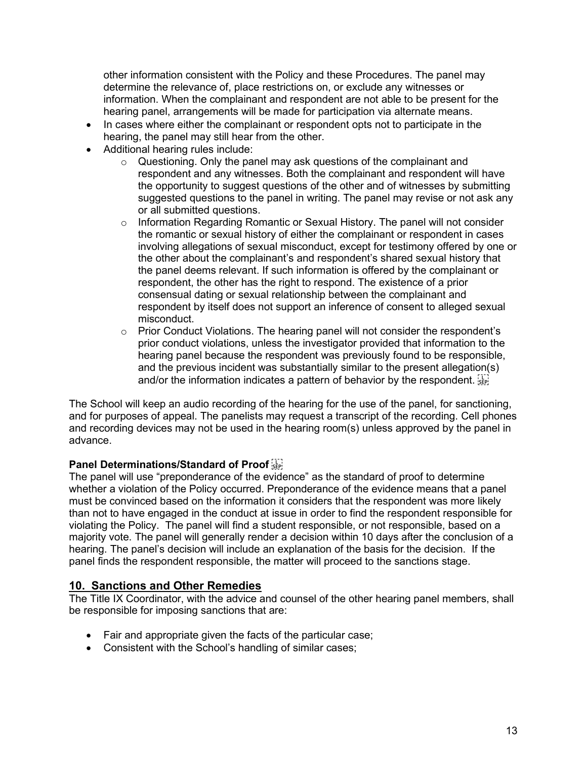other information consistent with the Policy and these Procedures. The panel may determine the relevance of, place restrictions on, or exclude any witnesses or information. When the complainant and respondent are not able to be present for the hearing panel, arrangements will be made for participation via alternate means.

- In cases where either the complainant or respondent opts not to participate in the hearing, the panel may still hear from the other.
- Additional hearing rules include:
	- o Questioning. Only the panel may ask questions of the complainant and respondent and any witnesses. Both the complainant and respondent will have the opportunity to suggest questions of the other and of witnesses by submitting suggested questions to the panel in writing. The panel may revise or not ask any or all submitted questions.
	- o Information Regarding Romantic or Sexual History. The panel will not consider the romantic or sexual history of either the complainant or respondent in cases involving allegations of sexual misconduct, except for testimony offered by one or the other about the complainant's and respondent's shared sexual history that the panel deems relevant. If such information is offered by the complainant or respondent, the other has the right to respond. The existence of a prior consensual dating or sexual relationship between the complainant and respondent by itself does not support an inference of consent to alleged sexual misconduct.
	- $\circ$  Prior Conduct Violations. The hearing panel will not consider the respondent's prior conduct violations, unless the investigator provided that information to the hearing panel because the respondent was previously found to be responsible, and the previous incident was substantially similar to the present allegation(s) and/or the information indicates a pattern of behavior by the respondent.  $\frac{17}{366}$

The School will keep an audio recording of the hearing for the use of the panel, for sanctioning, and for purposes of appeal. The panelists may request a transcript of the recording. Cell phones and recording devices may not be used in the hearing room(s) unless approved by the panel in advance.

## **Panel Determinations/Standard of Proof**

The panel will use "preponderance of the evidence" as the standard of proof to determine whether a violation of the Policy occurred. Preponderance of the evidence means that a panel must be convinced based on the information it considers that the respondent was more likely than not to have engaged in the conduct at issue in order to find the respondent responsible for violating the Policy. The panel will find a student responsible, or not responsible, based on a majority vote. The panel will generally render a decision within 10 days after the conclusion of a hearing. The panel's decision will include an explanation of the basis for the decision. If the panel finds the respondent responsible, the matter will proceed to the sanctions stage.

## **10. Sanctions and Other Remedies**

The Title IX Coordinator, with the advice and counsel of the other hearing panel members, shall be responsible for imposing sanctions that are:

- Fair and appropriate given the facts of the particular case;
- Consistent with the School's handling of similar cases;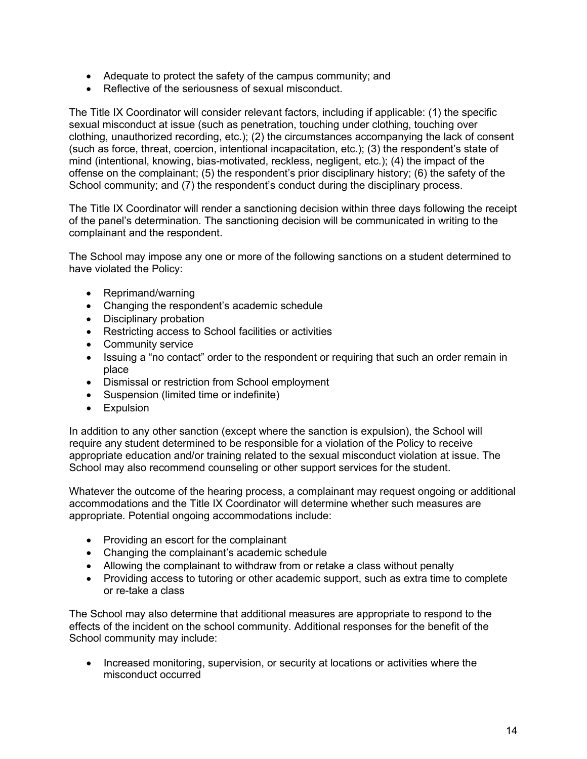- Adequate to protect the safety of the campus community; and
- Reflective of the seriousness of sexual misconduct.

The Title IX Coordinator will consider relevant factors, including if applicable: (1) the specific sexual misconduct at issue (such as penetration, touching under clothing, touching over clothing, unauthorized recording, etc.); (2) the circumstances accompanying the lack of consent (such as force, threat, coercion, intentional incapacitation, etc.); (3) the respondent's state of mind (intentional, knowing, bias-motivated, reckless, negligent, etc.); (4) the impact of the offense on the complainant; (5) the respondent's prior disciplinary history; (6) the safety of the School community; and (7) the respondent's conduct during the disciplinary process.

The Title IX Coordinator will render a sanctioning decision within three days following the receipt of the panel's determination. The sanctioning decision will be communicated in writing to the complainant and the respondent.

The School may impose any one or more of the following sanctions on a student determined to have violated the Policy:

- Reprimand/warning
- Changing the respondent's academic schedule
- Disciplinary probation
- Restricting access to School facilities or activities
- Community service
- Issuing a "no contact" order to the respondent or requiring that such an order remain in place
- Dismissal or restriction from School employment
- Suspension (limited time or indefinite)
- Expulsion

In addition to any other sanction (except where the sanction is expulsion), the School will require any student determined to be responsible for a violation of the Policy to receive appropriate education and/or training related to the sexual misconduct violation at issue. The School may also recommend counseling or other support services for the student.

Whatever the outcome of the hearing process, a complainant may request ongoing or additional accommodations and the Title IX Coordinator will determine whether such measures are appropriate. Potential ongoing accommodations include:

- Providing an escort for the complainant
- Changing the complainant's academic schedule
- Allowing the complainant to withdraw from or retake a class without penalty
- Providing access to tutoring or other academic support, such as extra time to complete or re-take a class

The School may also determine that additional measures are appropriate to respond to the effects of the incident on the school community. Additional responses for the benefit of the School community may include:

• Increased monitoring, supervision, or security at locations or activities where the misconduct occurred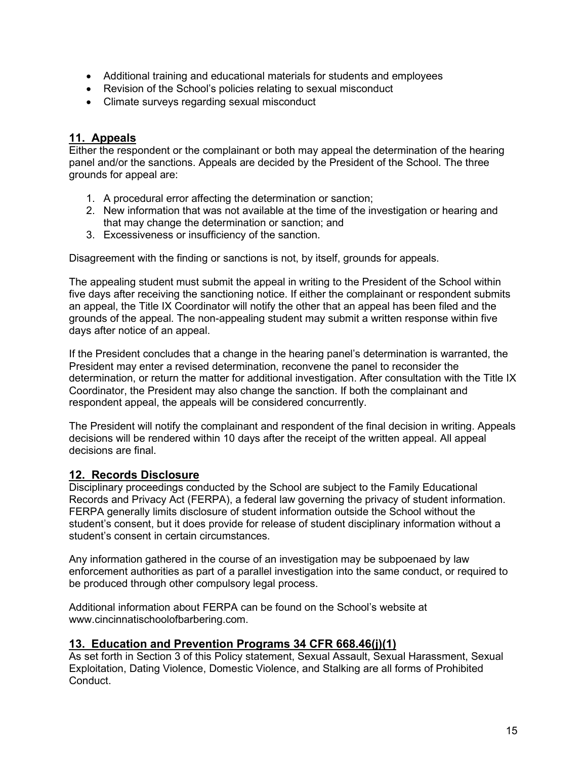- Additional training and educational materials for students and employees
- Revision of the School's policies relating to sexual misconduct
- Climate surveys regarding sexual misconduct

## **11. Appeals**

Either the respondent or the complainant or both may appeal the determination of the hearing panel and/or the sanctions. Appeals are decided by the President of the School. The three grounds for appeal are:

- 1. A procedural error affecting the determination or sanction;
- 2. New information that was not available at the time of the investigation or hearing and that may change the determination or sanction; and
- 3. Excessiveness or insufficiency of the sanction.

Disagreement with the finding or sanctions is not, by itself, grounds for appeals.

The appealing student must submit the appeal in writing to the President of the School within five days after receiving the sanctioning notice. If either the complainant or respondent submits an appeal, the Title IX Coordinator will notify the other that an appeal has been filed and the grounds of the appeal. The non-appealing student may submit a written response within five days after notice of an appeal.

If the President concludes that a change in the hearing panel's determination is warranted, the President may enter a revised determination, reconvene the panel to reconsider the determination, or return the matter for additional investigation. After consultation with the Title IX Coordinator, the President may also change the sanction. If both the complainant and respondent appeal, the appeals will be considered concurrently.

The President will notify the complainant and respondent of the final decision in writing. Appeals decisions will be rendered within 10 days after the receipt of the written appeal. All appeal decisions are final.

## **12. Records Disclosure**

Disciplinary proceedings conducted by the School are subject to the Family Educational Records and Privacy Act (FERPA), a federal law governing the privacy of student information. FERPA generally limits disclosure of student information outside the School without the student's consent, but it does provide for release of student disciplinary information without a student's consent in certain circumstances.

Any information gathered in the course of an investigation may be subpoenaed by law enforcement authorities as part of a parallel investigation into the same conduct, or required to be produced through other compulsory legal process.

Additional information about FERPA can be found on the School's website at www.cincinnatischoolofbarbering.com.

## **13. Education and Prevention Programs 34 CFR 668.46(j)(1)**

As set forth in Section 3 of this Policy statement, Sexual Assault, Sexual Harassment, Sexual Exploitation, Dating Violence, Domestic Violence, and Stalking are all forms of Prohibited Conduct.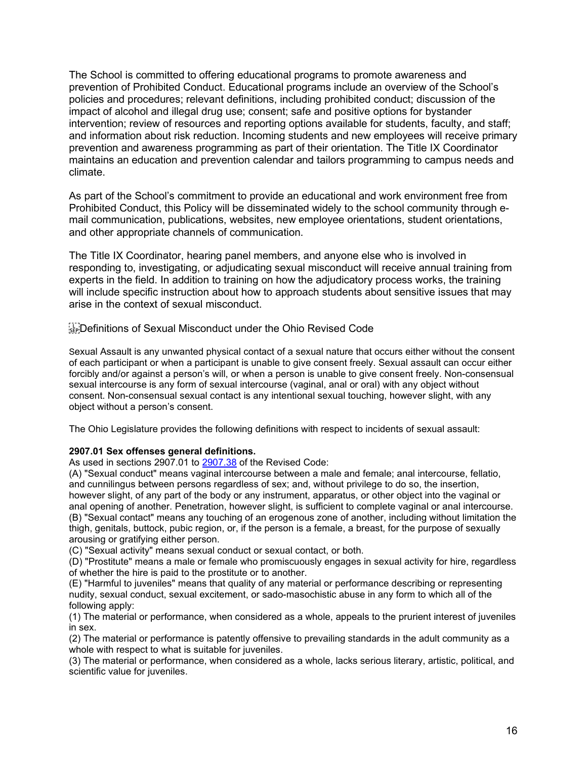The School is committed to offering educational programs to promote awareness and prevention of Prohibited Conduct. Educational programs include an overview of the School's policies and procedures; relevant definitions, including prohibited conduct; discussion of the impact of alcohol and illegal drug use; consent; safe and positive options for bystander intervention; review of resources and reporting options available for students, faculty, and staff; and information about risk reduction. Incoming students and new employees will receive primary prevention and awareness programming as part of their orientation. The Title IX Coordinator maintains an education and prevention calendar and tailors programming to campus needs and climate.

As part of the School's commitment to provide an educational and work environment free from Prohibited Conduct, this Policy will be disseminated widely to the school community through email communication, publications, websites, new employee orientations, student orientations, and other appropriate channels of communication.

The Title IX Coordinator, hearing panel members, and anyone else who is involved in responding to, investigating, or adjudicating sexual misconduct will receive annual training from experts in the field. In addition to training on how the adjudicatory process works, the training will include specific instruction about how to approach students about sensitive issues that may arise in the context of sexual misconduct.

**ENDEFINITIONS OF Sexual Misconduct under the Ohio Revised Code** 

Sexual Assault is any unwanted physical contact of a sexual nature that occurs either without the consent of each participant or when a participant is unable to give consent freely. Sexual assault can occur either forcibly and/or against a person's will, or when a person is unable to give consent freely. Non-consensual sexual intercourse is any form of sexual intercourse (vaginal, anal or oral) with any object without consent. Non-consensual sexual contact is any intentional sexual touching, however slight, with any object without a person's consent.

The Ohio Legislature provides the following definitions with respect to incidents of sexual assault:

### **2907.01 Sex offenses general definitions.**

As used in sections 2907.01 to [2907.38](http://codes.ohio.gov/orc/2907.38) of the Revised Code:

(A) "Sexual conduct" means vaginal intercourse between a male and female; anal intercourse, fellatio, and cunnilingus between persons regardless of sex; and, without privilege to do so, the insertion, however slight, of any part of the body or any instrument, apparatus, or other object into the vaginal or anal opening of another. Penetration, however slight, is sufficient to complete vaginal or anal intercourse. (B) "Sexual contact" means any touching of an erogenous zone of another, including without limitation the thigh, genitals, buttock, pubic region, or, if the person is a female, a breast, for the purpose of sexually arousing or gratifying either person.

(C) "Sexual activity" means sexual conduct or sexual contact, or both.

(D) "Prostitute" means a male or female who promiscuously engages in sexual activity for hire, regardless of whether the hire is paid to the prostitute or to another.

(E) "Harmful to juveniles" means that quality of any material or performance describing or representing nudity, sexual conduct, sexual excitement, or sado-masochistic abuse in any form to which all of the following apply:

(1) The material or performance, when considered as a whole, appeals to the prurient interest of juveniles in sex.

(2) The material or performance is patently offensive to prevailing standards in the adult community as a whole with respect to what is suitable for juveniles.

(3) The material or performance, when considered as a whole, lacks serious literary, artistic, political, and scientific value for juveniles.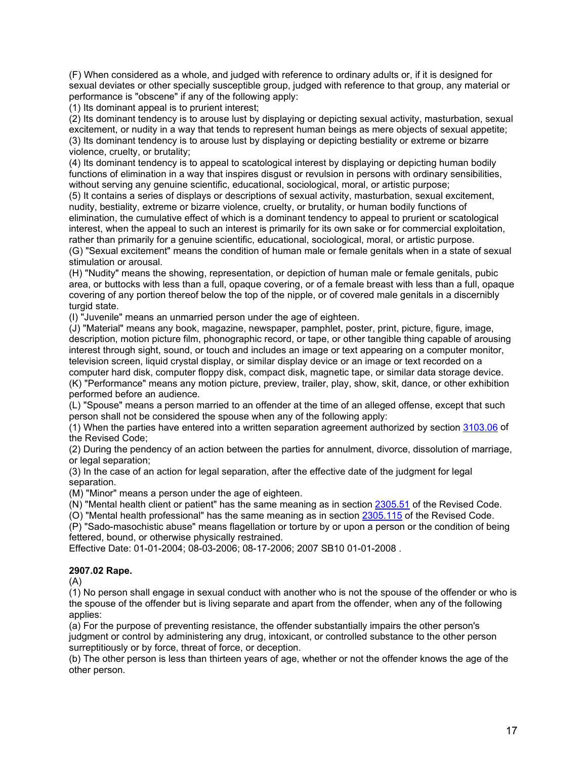(F) When considered as a whole, and judged with reference to ordinary adults or, if it is designed for sexual deviates or other specially susceptible group, judged with reference to that group, any material or performance is "obscene" if any of the following apply:

(1) Its dominant appeal is to prurient interest;

(2) Its dominant tendency is to arouse lust by displaying or depicting sexual activity, masturbation, sexual excitement, or nudity in a way that tends to represent human beings as mere objects of sexual appetite; (3) Its dominant tendency is to arouse lust by displaying or depicting bestiality or extreme or bizarre violence, cruelty, or brutality;

(4) Its dominant tendency is to appeal to scatological interest by displaying or depicting human bodily functions of elimination in a way that inspires disgust or revulsion in persons with ordinary sensibilities, without serving any genuine scientific, educational, sociological, moral, or artistic purpose;

(5) It contains a series of displays or descriptions of sexual activity, masturbation, sexual excitement, nudity, bestiality, extreme or bizarre violence, cruelty, or brutality, or human bodily functions of elimination, the cumulative effect of which is a dominant tendency to appeal to prurient or scatological interest, when the appeal to such an interest is primarily for its own sake or for commercial exploitation, rather than primarily for a genuine scientific, educational, sociological, moral, or artistic purpose.

(G) "Sexual excitement" means the condition of human male or female genitals when in a state of sexual stimulation or arousal.

(H) "Nudity" means the showing, representation, or depiction of human male or female genitals, pubic area, or buttocks with less than a full, opaque covering, or of a female breast with less than a full, opaque covering of any portion thereof below the top of the nipple, or of covered male genitals in a discernibly turgid state.

(I) "Juvenile" means an unmarried person under the age of eighteen.

(J) "Material" means any book, magazine, newspaper, pamphlet, poster, print, picture, figure, image, description, motion picture film, phonographic record, or tape, or other tangible thing capable of arousing interest through sight, sound, or touch and includes an image or text appearing on a computer monitor, television screen, liquid crystal display, or similar display device or an image or text recorded on a computer hard disk, computer floppy disk, compact disk, magnetic tape, or similar data storage device. (K) "Performance" means any motion picture, preview, trailer, play, show, skit, dance, or other exhibition performed before an audience.

(L) "Spouse" means a person married to an offender at the time of an alleged offense, except that such person shall not be considered the spouse when any of the following apply:

(1) When the parties have entered into a written separation agreement authorized by section [3103.06](http://codes.ohio.gov/orc/3103.06) of the Revised Code;

(2) During the pendency of an action between the parties for annulment, divorce, dissolution of marriage, or legal separation;

(3) In the case of an action for legal separation, after the effective date of the judgment for legal separation.

(M) "Minor" means a person under the age of eighteen.

(N) "Mental health client or patient" has the same meaning as in section [2305.51](http://codes.ohio.gov/orc/2305.51) of the Revised Code.

(O) "Mental health professional" has the same meaning as in section [2305.115](http://codes.ohio.gov/orc/2305.115) of the Revised Code.

(P) "Sado-masochistic abuse" means flagellation or torture by or upon a person or the condition of being fettered, bound, or otherwise physically restrained.

Effective Date: 01-01-2004; 08-03-2006; 08-17-2006; 2007 SB10 01-01-2008 .

#### **2907.02 Rape.**

(A)

(1) No person shall engage in sexual conduct with another who is not the spouse of the offender or who is the spouse of the offender but is living separate and apart from the offender, when any of the following applies:

(a) For the purpose of preventing resistance, the offender substantially impairs the other person's judgment or control by administering any drug, intoxicant, or controlled substance to the other person surreptitiously or by force, threat of force, or deception.

(b) The other person is less than thirteen years of age, whether or not the offender knows the age of the other person.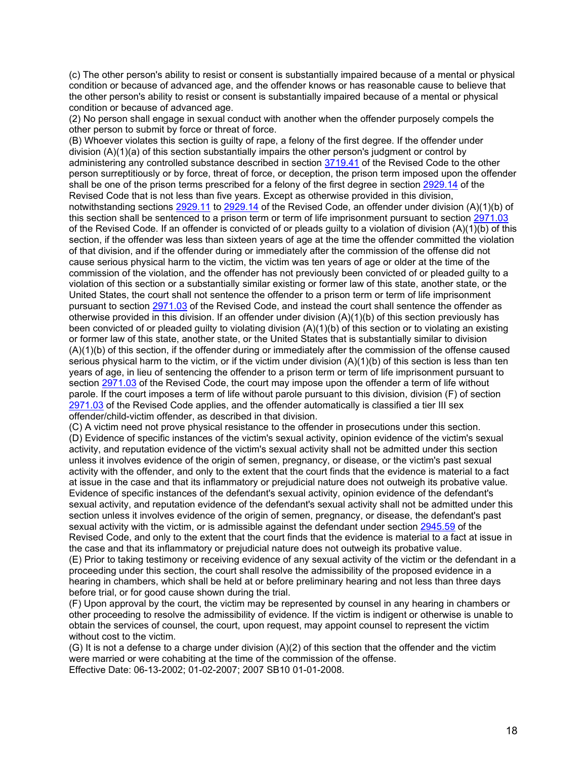(c) The other person's ability to resist or consent is substantially impaired because of a mental or physical condition or because of advanced age, and the offender knows or has reasonable cause to believe that the other person's ability to resist or consent is substantially impaired because of a mental or physical condition or because of advanced age.

(2) No person shall engage in sexual conduct with another when the offender purposely compels the other person to submit by force or threat of force.

(B) Whoever violates this section is guilty of rape, a felony of the first degree. If the offender under division (A)(1)(a) of this section substantially impairs the other person's judgment or control by administering any controlled substance described in section [3719.41](http://codes.ohio.gov/orc/3719.41) of the Revised Code to the other person surreptitiously or by force, threat of force, or deception, the prison term imposed upon the offender shall be one of the prison terms prescribed for a felony of the first degree in section [2929.14](http://codes.ohio.gov/orc/2929.14) of the Revised Code that is not less than five years. Except as otherwise provided in this division, notwithstanding sections [2929.11](http://codes.ohio.gov/orc/2929.11) to [2929.14](http://codes.ohio.gov/orc/2929.14) of the Revised Code, an offender under division (A)(1)(b) of this section shall be sentenced to a prison term or term of life imprisonment pursuant to section [2971.03](http://codes.ohio.gov/orc/2971.03) of the Revised Code. If an offender is convicted of or pleads guilty to a violation of division (A)(1)(b) of this section, if the offender was less than sixteen years of age at the time the offender committed the violation of that division, and if the offender during or immediately after the commission of the offense did not cause serious physical harm to the victim, the victim was ten years of age or older at the time of the commission of the violation, and the offender has not previously been convicted of or pleaded guilty to a violation of this section or a substantially similar existing or former law of this state, another state, or the United States, the court shall not sentence the offender to a prison term or term of life imprisonment pursuant to section [2971.03](http://codes.ohio.gov/orc/2971.03) of the Revised Code, and instead the court shall sentence the offender as otherwise provided in this division. If an offender under division (A)(1)(b) of this section previously has been convicted of or pleaded guilty to violating division (A)(1)(b) of this section or to violating an existing or former law of this state, another state, or the United States that is substantially similar to division (A)(1)(b) of this section, if the offender during or immediately after the commission of the offense caused serious physical harm to the victim, or if the victim under division (A)(1)(b) of this section is less than ten years of age, in lieu of sentencing the offender to a prison term or term of life imprisonment pursuant to section [2971.03](http://codes.ohio.gov/orc/2971.03) of the Revised Code, the court may impose upon the offender a term of life without parole. If the court imposes a term of life without parole pursuant to this division, division (F) of section [2971.03](http://codes.ohio.gov/orc/2971.03) of the Revised Code applies, and the offender automatically is classified a tier III sex offender/child-victim offender, as described in that division.

(C) A victim need not prove physical resistance to the offender in prosecutions under this section. (D) Evidence of specific instances of the victim's sexual activity, opinion evidence of the victim's sexual activity, and reputation evidence of the victim's sexual activity shall not be admitted under this section unless it involves evidence of the origin of semen, pregnancy, or disease, or the victim's past sexual activity with the offender, and only to the extent that the court finds that the evidence is material to a fact at issue in the case and that its inflammatory or prejudicial nature does not outweigh its probative value. Evidence of specific instances of the defendant's sexual activity, opinion evidence of the defendant's sexual activity, and reputation evidence of the defendant's sexual activity shall not be admitted under this section unless it involves evidence of the origin of semen, pregnancy, or disease, the defendant's past sexual activity with the victim, or is admissible against the defendant under section [2945.59](http://codes.ohio.gov/orc/2945.59) of the Revised Code, and only to the extent that the court finds that the evidence is material to a fact at issue in the case and that its inflammatory or prejudicial nature does not outweigh its probative value. (E) Prior to taking testimony or receiving evidence of any sexual activity of the victim or the defendant in a proceeding under this section, the court shall resolve the admissibility of the proposed evidence in a hearing in chambers, which shall be held at or before preliminary hearing and not less than three days

(F) Upon approval by the court, the victim may be represented by counsel in any hearing in chambers or other proceeding to resolve the admissibility of evidence. If the victim is indigent or otherwise is unable to obtain the services of counsel, the court, upon request, may appoint counsel to represent the victim without cost to the victim.

before trial, or for good cause shown during the trial.

(G) It is not a defense to a charge under division (A)(2) of this section that the offender and the victim were married or were cohabiting at the time of the commission of the offense. Effective Date: 06-13-2002; 01-02-2007; 2007 SB10 01-01-2008.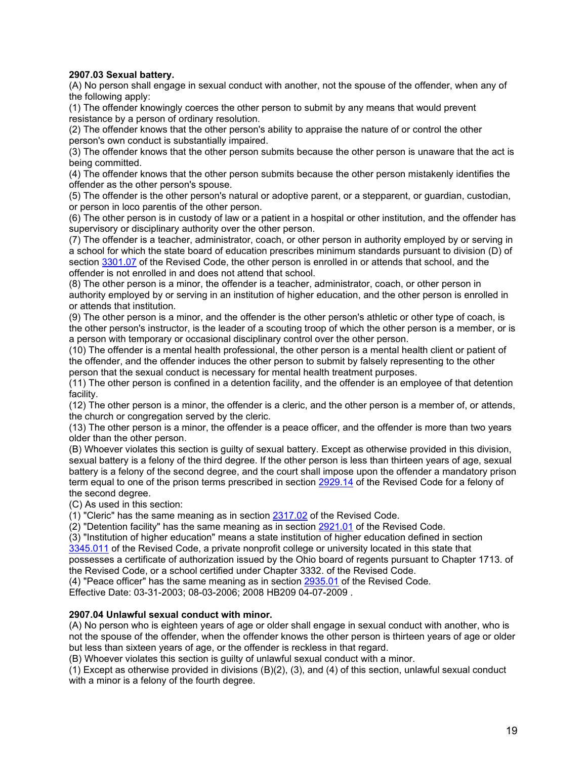#### **2907.03 Sexual battery.**

(A) No person shall engage in sexual conduct with another, not the spouse of the offender, when any of the following apply:

(1) The offender knowingly coerces the other person to submit by any means that would prevent resistance by a person of ordinary resolution.

(2) The offender knows that the other person's ability to appraise the nature of or control the other person's own conduct is substantially impaired.

(3) The offender knows that the other person submits because the other person is unaware that the act is being committed.

(4) The offender knows that the other person submits because the other person mistakenly identifies the offender as the other person's spouse.

(5) The offender is the other person's natural or adoptive parent, or a stepparent, or guardian, custodian, or person in loco parentis of the other person.

(6) The other person is in custody of law or a patient in a hospital or other institution, and the offender has supervisory or disciplinary authority over the other person.

(7) The offender is a teacher, administrator, coach, or other person in authority employed by or serving in a school for which the state board of education prescribes minimum standards pursuant to division (D) of section [3301.07](http://codes.ohio.gov/orc/3301.07) of the Revised Code, the other person is enrolled in or attends that school, and the offender is not enrolled in and does not attend that school.

(8) The other person is a minor, the offender is a teacher, administrator, coach, or other person in authority employed by or serving in an institution of higher education, and the other person is enrolled in or attends that institution.

(9) The other person is a minor, and the offender is the other person's athletic or other type of coach, is the other person's instructor, is the leader of a scouting troop of which the other person is a member, or is a person with temporary or occasional disciplinary control over the other person.

(10) The offender is a mental health professional, the other person is a mental health client or patient of the offender, and the offender induces the other person to submit by falsely representing to the other person that the sexual conduct is necessary for mental health treatment purposes.

(11) The other person is confined in a detention facility, and the offender is an employee of that detention facility.

(12) The other person is a minor, the offender is a cleric, and the other person is a member of, or attends, the church or congregation served by the cleric.

(13) The other person is a minor, the offender is a peace officer, and the offender is more than two years older than the other person.

(B) Whoever violates this section is guilty of sexual battery. Except as otherwise provided in this division, sexual battery is a felony of the third degree. If the other person is less than thirteen years of age, sexual battery is a felony of the second degree, and the court shall impose upon the offender a mandatory prison term equal to one of the prison terms prescribed in section [2929.14](http://codes.ohio.gov/orc/2929.14) of the Revised Code for a felony of the second degree.

(C) As used in this section:

(1) "Cleric" has the same meaning as in section [2317.02](http://codes.ohio.gov/orc/2317.02) of the Revised Code.

(2) "Detention facility" has the same meaning as in section [2921.01](http://codes.ohio.gov/orc/2921.01) of the Revised Code.

(3) "Institution of higher education" means a state institution of higher education defined in section [3345.011](http://codes.ohio.gov/orc/3345.011) of the Revised Code, a private nonprofit college or university located in this state that possesses a certificate of authorization issued by the Ohio board of regents pursuant to Chapter 1713. of the Revised Code, or a school certified under Chapter 3332. of the Revised Code.

(4) "Peace officer" has the same meaning as in section [2935.01](http://codes.ohio.gov/orc/2935.01) of the Revised Code.

Effective Date: 03-31-2003; 08-03-2006; 2008 HB209 04-07-2009 .

#### **2907.04 Unlawful sexual conduct with minor.**

(A) No person who is eighteen years of age or older shall engage in sexual conduct with another, who is not the spouse of the offender, when the offender knows the other person is thirteen years of age or older but less than sixteen years of age, or the offender is reckless in that regard.

(B) Whoever violates this section is guilty of unlawful sexual conduct with a minor.

 $(1)$  Except as otherwise provided in divisions  $(B)(2)$ ,  $(3)$ , and  $(4)$  of this section, unlawful sexual conduct with a minor is a felony of the fourth degree.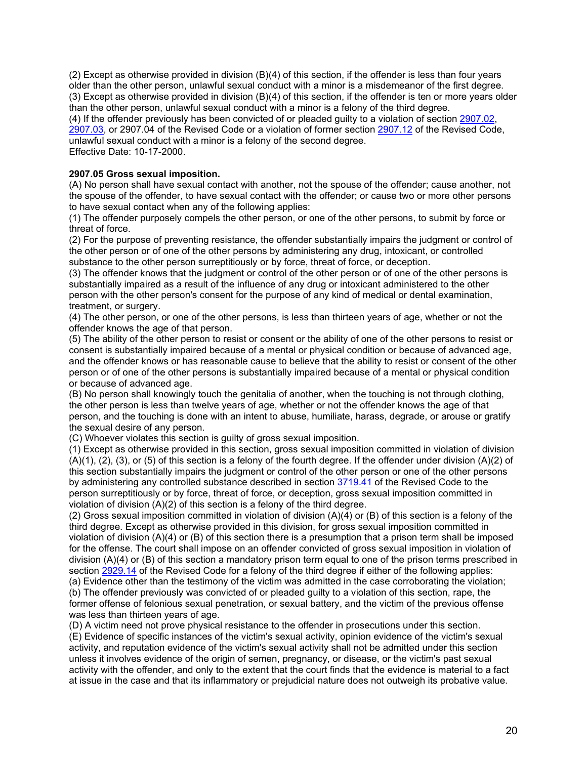(2) Except as otherwise provided in division (B)(4) of this section, if the offender is less than four years older than the other person, unlawful sexual conduct with a minor is a misdemeanor of the first degree. (3) Except as otherwise provided in division (B)(4) of this section, if the offender is ten or more years older than the other person, unlawful sexual conduct with a minor is a felony of the third degree.

(4) If the offender previously has been convicted of or pleaded guilty to a violation of section [2907.02,](http://codes.ohio.gov/orc/2907.02) [2907.03,](http://codes.ohio.gov/orc/2907.03) or 2907.04 of the Revised Code or a violation of former section [2907.12](http://codes.ohio.gov/orc/2907.12) of the Revised Code, unlawful sexual conduct with a minor is a felony of the second degree. Effective Date: 10-17-2000.

#### **2907.05 Gross sexual imposition.**

(A) No person shall have sexual contact with another, not the spouse of the offender; cause another, not the spouse of the offender, to have sexual contact with the offender; or cause two or more other persons to have sexual contact when any of the following applies:

(1) The offender purposely compels the other person, or one of the other persons, to submit by force or threat of force.

(2) For the purpose of preventing resistance, the offender substantially impairs the judgment or control of the other person or of one of the other persons by administering any drug, intoxicant, or controlled substance to the other person surreptitiously or by force, threat of force, or deception.

(3) The offender knows that the judgment or control of the other person or of one of the other persons is substantially impaired as a result of the influence of any drug or intoxicant administered to the other person with the other person's consent for the purpose of any kind of medical or dental examination, treatment, or surgery.

(4) The other person, or one of the other persons, is less than thirteen years of age, whether or not the offender knows the age of that person.

(5) The ability of the other person to resist or consent or the ability of one of the other persons to resist or consent is substantially impaired because of a mental or physical condition or because of advanced age, and the offender knows or has reasonable cause to believe that the ability to resist or consent of the other person or of one of the other persons is substantially impaired because of a mental or physical condition or because of advanced age.

(B) No person shall knowingly touch the genitalia of another, when the touching is not through clothing, the other person is less than twelve years of age, whether or not the offender knows the age of that person, and the touching is done with an intent to abuse, humiliate, harass, degrade, or arouse or gratify the sexual desire of any person.

(C) Whoever violates this section is guilty of gross sexual imposition.

(1) Except as otherwise provided in this section, gross sexual imposition committed in violation of division (A)(1), (2), (3), or (5) of this section is a felony of the fourth degree. If the offender under division (A)(2) of this section substantially impairs the judgment or control of the other person or one of the other persons by administering any controlled substance described in section [3719.41](http://codes.ohio.gov/orc/3719.41) of the Revised Code to the person surreptitiously or by force, threat of force, or deception, gross sexual imposition committed in violation of division (A)(2) of this section is a felony of the third degree.

(2) Gross sexual imposition committed in violation of division (A)(4) or (B) of this section is a felony of the third degree. Except as otherwise provided in this division, for gross sexual imposition committed in violation of division (A)(4) or (B) of this section there is a presumption that a prison term shall be imposed for the offense. The court shall impose on an offender convicted of gross sexual imposition in violation of division (A)(4) or (B) of this section a mandatory prison term equal to one of the prison terms prescribed in section [2929.14](http://codes.ohio.gov/orc/2929.14) of the Revised Code for a felony of the third degree if either of the following applies: (a) Evidence other than the testimony of the victim was admitted in the case corroborating the violation; (b) The offender previously was convicted of or pleaded guilty to a violation of this section, rape, the former offense of felonious sexual penetration, or sexual battery, and the victim of the previous offense was less than thirteen years of age.

(D) A victim need not prove physical resistance to the offender in prosecutions under this section. (E) Evidence of specific instances of the victim's sexual activity, opinion evidence of the victim's sexual activity, and reputation evidence of the victim's sexual activity shall not be admitted under this section unless it involves evidence of the origin of semen, pregnancy, or disease, or the victim's past sexual activity with the offender, and only to the extent that the court finds that the evidence is material to a fact at issue in the case and that its inflammatory or prejudicial nature does not outweigh its probative value.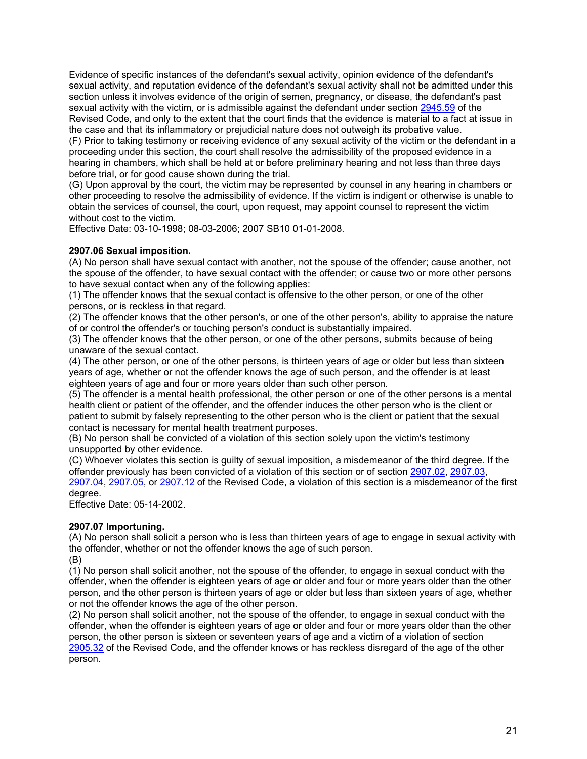Evidence of specific instances of the defendant's sexual activity, opinion evidence of the defendant's sexual activity, and reputation evidence of the defendant's sexual activity shall not be admitted under this section unless it involves evidence of the origin of semen, pregnancy, or disease, the defendant's past sexual activity with the victim, or is admissible against the defendant under section [2945.59](http://codes.ohio.gov/orc/2945.59) of the Revised Code, and only to the extent that the court finds that the evidence is material to a fact at issue in the case and that its inflammatory or prejudicial nature does not outweigh its probative value.

(F) Prior to taking testimony or receiving evidence of any sexual activity of the victim or the defendant in a proceeding under this section, the court shall resolve the admissibility of the proposed evidence in a hearing in chambers, which shall be held at or before preliminary hearing and not less than three days before trial, or for good cause shown during the trial.

(G) Upon approval by the court, the victim may be represented by counsel in any hearing in chambers or other proceeding to resolve the admissibility of evidence. If the victim is indigent or otherwise is unable to obtain the services of counsel, the court, upon request, may appoint counsel to represent the victim without cost to the victim.

Effective Date: 03-10-1998; 08-03-2006; 2007 SB10 01-01-2008.

### **2907.06 Sexual imposition.**

(A) No person shall have sexual contact with another, not the spouse of the offender; cause another, not the spouse of the offender, to have sexual contact with the offender; or cause two or more other persons to have sexual contact when any of the following applies:

(1) The offender knows that the sexual contact is offensive to the other person, or one of the other persons, or is reckless in that regard.

(2) The offender knows that the other person's, or one of the other person's, ability to appraise the nature of or control the offender's or touching person's conduct is substantially impaired.

(3) The offender knows that the other person, or one of the other persons, submits because of being unaware of the sexual contact.

(4) The other person, or one of the other persons, is thirteen years of age or older but less than sixteen years of age, whether or not the offender knows the age of such person, and the offender is at least eighteen years of age and four or more years older than such other person.

(5) The offender is a mental health professional, the other person or one of the other persons is a mental health client or patient of the offender, and the offender induces the other person who is the client or patient to submit by falsely representing to the other person who is the client or patient that the sexual contact is necessary for mental health treatment purposes.

(B) No person shall be convicted of a violation of this section solely upon the victim's testimony unsupported by other evidence.

(C) Whoever violates this section is guilty of sexual imposition, a misdemeanor of the third degree. If the offender previously has been convicted of a violation of this section or of section [2907.02,](http://codes.ohio.gov/orc/2907.02) [2907.03,](http://codes.ohio.gov/orc/2907.03) [2907.04,](http://codes.ohio.gov/orc/2907.04) [2907.05,](http://codes.ohio.gov/orc/2907.05) or [2907.12](http://codes.ohio.gov/orc/2907.12) of the Revised Code, a violation of this section is a misdemeanor of the first degree.

Effective Date: 05-14-2002.

### **2907.07 Importuning.**

(A) No person shall solicit a person who is less than thirteen years of age to engage in sexual activity with the offender, whether or not the offender knows the age of such person.

(B)

(1) No person shall solicit another, not the spouse of the offender, to engage in sexual conduct with the offender, when the offender is eighteen years of age or older and four or more years older than the other person, and the other person is thirteen years of age or older but less than sixteen years of age, whether or not the offender knows the age of the other person.

(2) No person shall solicit another, not the spouse of the offender, to engage in sexual conduct with the offender, when the offender is eighteen years of age or older and four or more years older than the other person, the other person is sixteen or seventeen years of age and a victim of a violation of section [2905.32](http://codes.ohio.gov/orc/2905.32) of the Revised Code, and the offender knows or has reckless disregard of the age of the other person.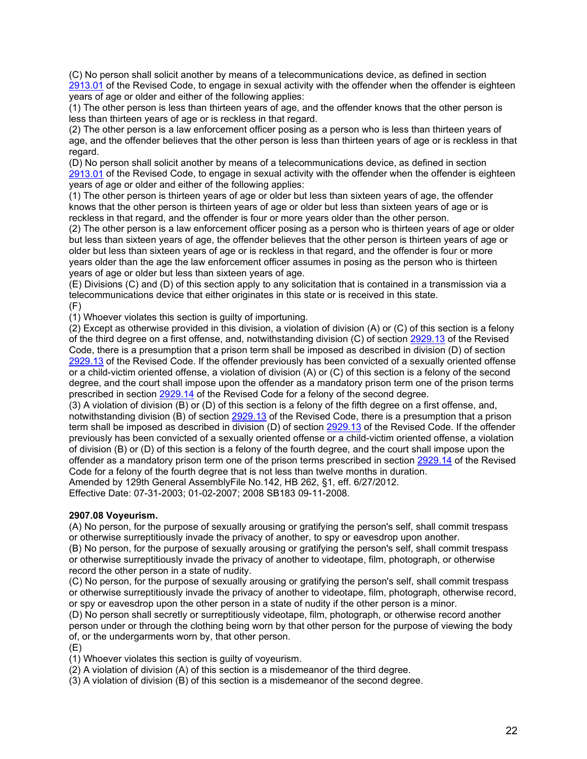(C) No person shall solicit another by means of a telecommunications device, as defined in section [2913.01](http://codes.ohio.gov/orc/2913.01) of the Revised Code, to engage in sexual activity with the offender when the offender is eighteen years of age or older and either of the following applies:

(1) The other person is less than thirteen years of age, and the offender knows that the other person is less than thirteen years of age or is reckless in that regard.

(2) The other person is a law enforcement officer posing as a person who is less than thirteen years of age, and the offender believes that the other person is less than thirteen years of age or is reckless in that regard.

(D) No person shall solicit another by means of a telecommunications device, as defined in section [2913.01](http://codes.ohio.gov/orc/2913.01) of the Revised Code, to engage in sexual activity with the offender when the offender is eighteen years of age or older and either of the following applies:

(1) The other person is thirteen years of age or older but less than sixteen years of age, the offender knows that the other person is thirteen years of age or older but less than sixteen years of age or is reckless in that regard, and the offender is four or more years older than the other person.

(2) The other person is a law enforcement officer posing as a person who is thirteen years of age or older but less than sixteen years of age, the offender believes that the other person is thirteen years of age or older but less than sixteen years of age or is reckless in that regard, and the offender is four or more years older than the age the law enforcement officer assumes in posing as the person who is thirteen years of age or older but less than sixteen years of age.

(E) Divisions (C) and (D) of this section apply to any solicitation that is contained in a transmission via a telecommunications device that either originates in this state or is received in this state.  $(F)$ 

(1) Whoever violates this section is guilty of importuning.

(2) Except as otherwise provided in this division, a violation of division (A) or (C) of this section is a felony of the third degree on a first offense, and, notwithstanding division (C) of section [2929.13](http://codes.ohio.gov/orc/2929.13) of the Revised Code, there is a presumption that a prison term shall be imposed as described in division (D) of section [2929.13](http://codes.ohio.gov/orc/2929.13) of the Revised Code. If the offender previously has been convicted of a sexually oriented offense or a child-victim oriented offense, a violation of division (A) or (C) of this section is a felony of the second degree, and the court shall impose upon the offender as a mandatory prison term one of the prison terms prescribed in section [2929.14](http://codes.ohio.gov/orc/2929.14) of the Revised Code for a felony of the second degree.

(3) A violation of division (B) or (D) of this section is a felony of the fifth degree on a first offense, and, notwithstanding division (B) of section [2929.13](http://codes.ohio.gov/orc/2929.13) of the Revised Code, there is a presumption that a prison term shall be imposed as described in division (D) of section [2929.13](http://codes.ohio.gov/orc/2929.13) of the Revised Code. If the offender previously has been convicted of a sexually oriented offense or a child-victim oriented offense, a violation of division (B) or (D) of this section is a felony of the fourth degree, and the court shall impose upon the offender as a mandatory prison term one of the prison terms prescribed in section [2929.14](http://codes.ohio.gov/orc/2929.14) of the Revised Code for a felony of the fourth degree that is not less than twelve months in duration.

Amended by 129th General AssemblyFile No.142, HB 262, §1, eff. 6/27/2012.

Effective Date: 07-31-2003; 01-02-2007; 2008 SB183 09-11-2008.

### **2907.08 Voyeurism.**

(A) No person, for the purpose of sexually arousing or gratifying the person's self, shall commit trespass or otherwise surreptitiously invade the privacy of another, to spy or eavesdrop upon another.

(B) No person, for the purpose of sexually arousing or gratifying the person's self, shall commit trespass or otherwise surreptitiously invade the privacy of another to videotape, film, photograph, or otherwise record the other person in a state of nudity.

(C) No person, for the purpose of sexually arousing or gratifying the person's self, shall commit trespass or otherwise surreptitiously invade the privacy of another to videotape, film, photograph, otherwise record, or spy or eavesdrop upon the other person in a state of nudity if the other person is a minor.

(D) No person shall secretly or surreptitiously videotape, film, photograph, or otherwise record another person under or through the clothing being worn by that other person for the purpose of viewing the body of, or the undergarments worn by, that other person.

(E)

 $(1)$  Whoever violates this section is guilty of voyeurism.

(2) A violation of division (A) of this section is a misdemeanor of the third degree.

(3) A violation of division (B) of this section is a misdemeanor of the second degree.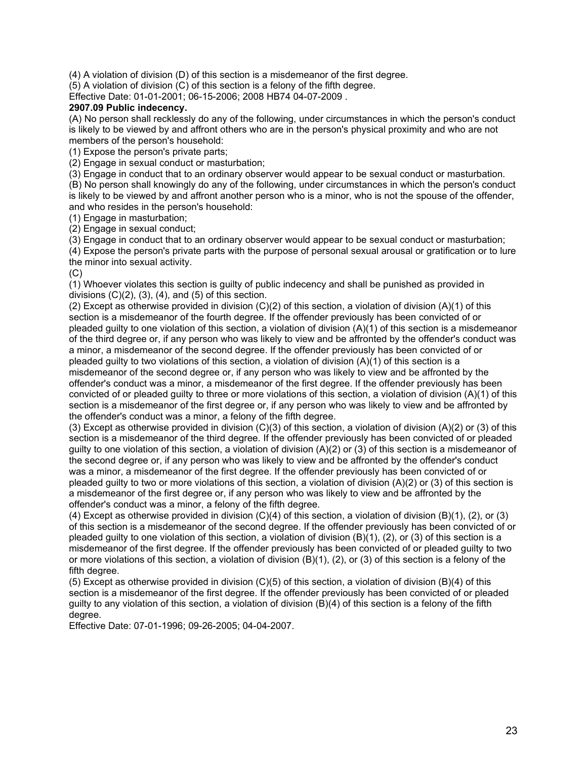(4) A violation of division (D) of this section is a misdemeanor of the first degree.

(5) A violation of division (C) of this section is a felony of the fifth degree.

Effective Date: 01-01-2001; 06-15-2006; 2008 HB74 04-07-2009 .

### **2907.09 Public indecency.**

(A) No person shall recklessly do any of the following, under circumstances in which the person's conduct is likely to be viewed by and affront others who are in the person's physical proximity and who are not members of the person's household:

(1) Expose the person's private parts;

(2) Engage in sexual conduct or masturbation;

(3) Engage in conduct that to an ordinary observer would appear to be sexual conduct or masturbation.

(B) No person shall knowingly do any of the following, under circumstances in which the person's conduct is likely to be viewed by and affront another person who is a minor, who is not the spouse of the offender, and who resides in the person's household:

(1) Engage in masturbation;

(2) Engage in sexual conduct;

(3) Engage in conduct that to an ordinary observer would appear to be sexual conduct or masturbation;

(4) Expose the person's private parts with the purpose of personal sexual arousal or gratification or to lure the minor into sexual activity.

#### (C)

(1) Whoever violates this section is guilty of public indecency and shall be punished as provided in divisions  $(C)(2)$ ,  $(3)$ ,  $(4)$ , and  $(5)$  of this section.

(2) Except as otherwise provided in division  $(C)(2)$  of this section, a violation of division  $(A)(1)$  of this section is a misdemeanor of the fourth degree. If the offender previously has been convicted of or pleaded guilty to one violation of this section, a violation of division (A)(1) of this section is a misdemeanor of the third degree or, if any person who was likely to view and be affronted by the offender's conduct was a minor, a misdemeanor of the second degree. If the offender previously has been convicted of or pleaded guilty to two violations of this section, a violation of division (A)(1) of this section is a misdemeanor of the second degree or, if any person who was likely to view and be affronted by the offender's conduct was a minor, a misdemeanor of the first degree. If the offender previously has been convicted of or pleaded guilty to three or more violations of this section, a violation of division (A)(1) of this section is a misdemeanor of the first degree or, if any person who was likely to view and be affronted by the offender's conduct was a minor, a felony of the fifth degree.

(3) Except as otherwise provided in division (C)(3) of this section, a violation of division (A)(2) or (3) of this section is a misdemeanor of the third degree. If the offender previously has been convicted of or pleaded guilty to one violation of this section, a violation of division (A)(2) or (3) of this section is a misdemeanor of the second degree or, if any person who was likely to view and be affronted by the offender's conduct was a minor, a misdemeanor of the first degree. If the offender previously has been convicted of or pleaded guilty to two or more violations of this section, a violation of division (A)(2) or (3) of this section is a misdemeanor of the first degree or, if any person who was likely to view and be affronted by the offender's conduct was a minor, a felony of the fifth degree.

(4) Except as otherwise provided in division (C)(4) of this section, a violation of division (B)(1), (2), or (3) of this section is a misdemeanor of the second degree. If the offender previously has been convicted of or pleaded guilty to one violation of this section, a violation of division (B)(1), (2), or (3) of this section is a misdemeanor of the first degree. If the offender previously has been convicted of or pleaded guilty to two or more violations of this section, a violation of division (B)(1), (2), or (3) of this section is a felony of the fifth degree.

(5) Except as otherwise provided in division (C)(5) of this section, a violation of division (B)(4) of this section is a misdemeanor of the first degree. If the offender previously has been convicted of or pleaded guilty to any violation of this section, a violation of division (B)(4) of this section is a felony of the fifth degree.

Effective Date: 07-01-1996; 09-26-2005; 04-04-2007.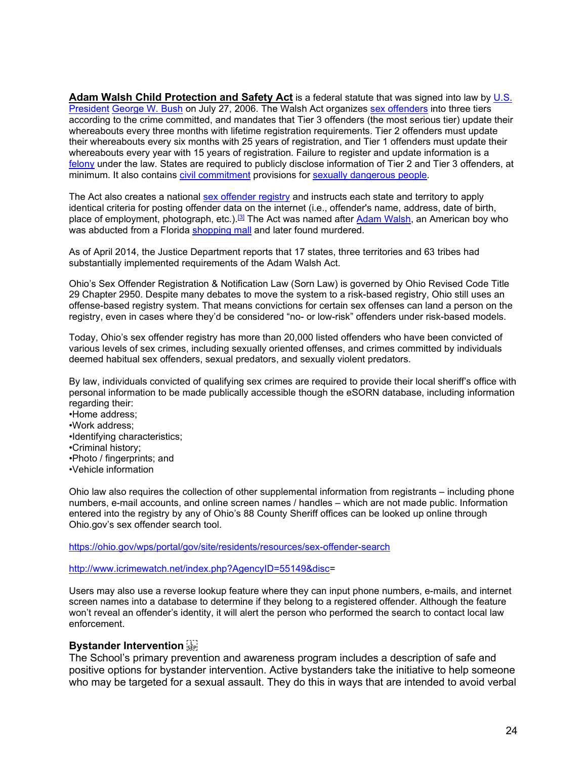**Adam Walsh Child Protection and Safety Act** is a federal statute that was signed into law by [U.S.](https://en.wikipedia.org/wiki/U.S._President)  [President](https://en.wikipedia.org/wiki/U.S._President) [George W. Bush](https://en.wikipedia.org/wiki/George_W._Bush) on July 27, 2006. The Walsh Act organizes [sex offenders](https://en.wikipedia.org/wiki/Sex_offender) into three tiers according to the crime committed, and mandates that Tier 3 offenders (the most serious tier) update their whereabouts every three months with lifetime registration requirements. Tier 2 offenders must update their whereabouts every six months with 25 years of registration, and Tier 1 offenders must update their whereabouts every year with 15 years of registration. Failure to register and update information is a [felony](https://en.wikipedia.org/wiki/Felony) under the law. States are required to publicly disclose information of Tier 2 and Tier 3 offenders, at minimum. It also contains [civil commitment](https://en.wikipedia.org/wiki/Civil_commitment) provisions for [sexually dangerous people.](https://en.wikipedia.org/wiki/Sexually_violent_predator_laws)

The Act also creates a national [sex offender registry](https://en.wikipedia.org/wiki/Sex_offender_registries_in_the_United_States) and instructs each state and territory to apply identical criteria for posting offender data on the internet (i.e., offender's name, address, date of birth, place of employment, photograph, etc.).<sup>[3]</sup> The Act was named after [Adam Walsh,](https://en.wikipedia.org/wiki/Murder_of_Adam_Walsh) an American boy who was abducted from a Florida [shopping mall](https://en.wikipedia.org/wiki/Shopping_mall) and later found murdered.

As of April 2014, the Justice Department reports that 17 states, three territories and 63 tribes had substantially implemented requirements of the Adam Walsh Act.

Ohio's Sex Offender Registration & Notification Law (Sorn Law) is governed by Ohio Revised Code Title 29 Chapter 2950. Despite many debates to move the system to a risk-based registry, Ohio still uses an offense-based registry system. That means convictions for certain sex offenses can land a person on the registry, even in cases where they'd be considered "no- or low-risk" offenders under risk-based models.

Today, Ohio's sex offender registry has more than 20,000 listed offenders who have been convicted of various levels of sex crimes, including sexually oriented offenses, and crimes committed by individuals deemed habitual sex offenders, sexual predators, and sexually violent predators.

By law, individuals convicted of qualifying sex crimes are required to provide their local sheriff's office with personal information to be made publically accessible though the eSORN database, including information regarding their:

•Home address;

•Work address;

- •Identifying characteristics;
- •Criminal history;
- •Photo / fingerprints; and
- •Vehicle information

Ohio law also requires the collection of other supplemental information from registrants – including phone numbers, e-mail accounts, and online screen names / handles – which are not made public. Information entered into the registry by any of Ohio's 88 County Sheriff offices can be looked up online through Ohio.gov's sex offender search tool.

<https://ohio.gov/wps/portal/gov/site/residents/resources/sex-offender-search>

[http://www.icrimewatch.net/index.php?AgencyID=55149&disc=](http://www.icrimewatch.net/index.php?AgencyID=55149&disc)

Users may also use a reverse lookup feature where they can input phone numbers, e-mails, and internet screen names into a database to determine if they belong to a registered offender. Although the feature won't reveal an offender's identity, it will alert the person who performed the search to contact local law enforcement.

### **Bystander Intervention**

The School's primary prevention and awareness program includes a description of safe and positive options for bystander intervention. Active bystanders take the initiative to help someone who may be targeted for a sexual assault. They do this in ways that are intended to avoid verbal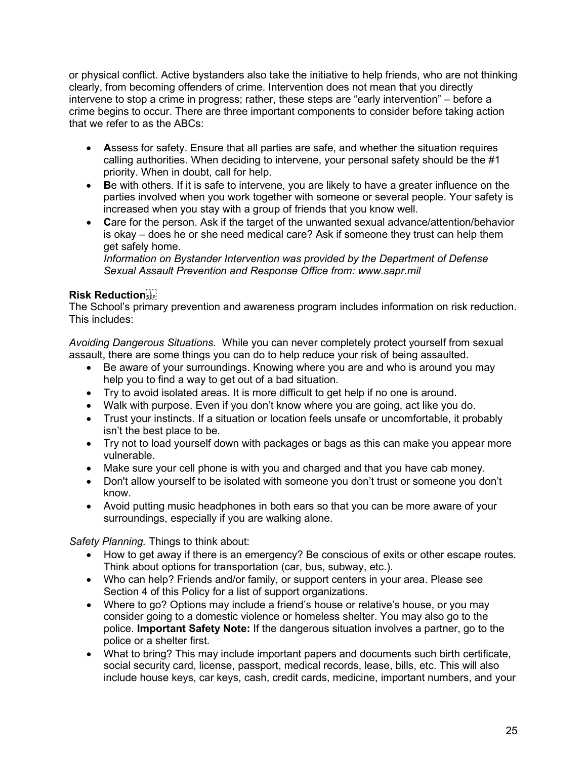or physical conflict. Active bystanders also take the initiative to help friends, who are not thinking clearly, from becoming offenders of crime. Intervention does not mean that you directly intervene to stop a crime in progress; rather, these steps are "early intervention" – before a crime begins to occur. There are three important components to consider before taking action that we refer to as the ABCs:

- **A**ssess for safety. Ensure that all parties are safe, and whether the situation requires calling authorities. When deciding to intervene, your personal safety should be the #1 priority. When in doubt, call for help.
- **B**e with others. If it is safe to intervene, you are likely to have a greater influence on the parties involved when you work together with someone or several people. Your safety is increased when you stay with a group of friends that you know well.
- **C**are for the person. Ask if the target of the unwanted sexual advance/attention/behavior is okay – does he or she need medical care? Ask if someone they trust can help them get safely home.

*Information on Bystander Intervention was provided by the Department of Defense Sexual Assault Prevention and Response Office from: [www.sapr.mil](http://www.sapr.mil/)*

## **Risk Reduction**

The School's primary prevention and awareness program includes information on risk reduction. This includes:

*Avoiding Dangerous Situations.* While you can never completely protect yourself from sexual assault, there are some things you can do to help reduce your risk of being assaulted.

- Be aware of your surroundings. Knowing where you are and who is around you may help you to find a way to get out of a bad situation.
- Try to avoid isolated areas. It is more difficult to get help if no one is around.
- Walk with purpose. Even if you don't know where you are going, act like you do.
- Trust your instincts. If a situation or location feels unsafe or uncomfortable, it probably isn't the best place to be.
- Try not to load yourself down with packages or bags as this can make you appear more vulnerable.
- Make sure your cell phone is with you and charged and that you have cab money.
- Don't allow yourself to be isolated with someone you don't trust or someone you don't know.
- Avoid putting music headphones in both ears so that you can be more aware of your surroundings, especially if you are walking alone.

*Safety Planning.* Things to think about:

- How to get away if there is an emergency? Be conscious of exits or other escape routes. Think about options for transportation (car, bus, subway, etc.).
- Who can help? Friends and/or family, or support centers in your area. Please see Section 4 of this Policy for a list of support organizations.
- Where to go? Options may include a friend's house or relative's house, or you may consider going to a domestic violence or homeless shelter. You may also go to the police. **Important Safety Note:** If the dangerous situation involves a partner, go to the police or a shelter first.
- What to bring? This may include important papers and documents such birth certificate, social security card, license, passport, medical records, lease, bills, etc. This will also include house keys, car keys, cash, credit cards, medicine, important numbers, and your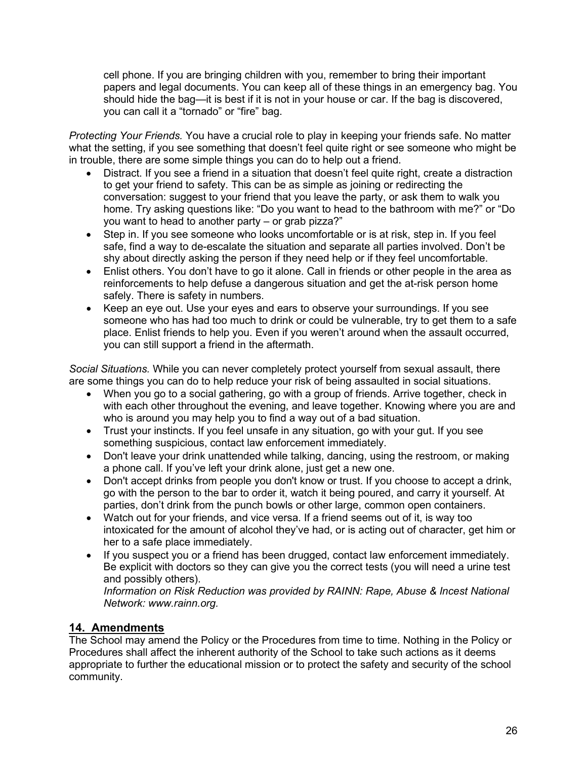cell phone. If you are bringing children with you, remember to bring their important papers and legal documents. You can keep all of these things in an emergency bag. You should hide the bag—it is best if it is not in your house or car. If the bag is discovered, you can call it a "tornado" or "fire" bag.

*Protecting Your Friends.* You have a crucial role to play in keeping your friends safe. No matter what the setting, if you see something that doesn't feel quite right or see someone who might be in trouble, there are some simple things you can do to help out a friend.

- Distract. If you see a friend in a situation that doesn't feel quite right, create a distraction to get your friend to safety. This can be as simple as joining or redirecting the conversation: suggest to your friend that you leave the party, or ask them to walk you home. Try asking questions like: "Do you want to head to the bathroom with me?" or "Do you want to head to another party – or grab pizza?"
- Step in. If you see someone who looks uncomfortable or is at risk, step in. If you feel safe, find a way to de-escalate the situation and separate all parties involved. Don't be shy about directly asking the person if they need help or if they feel uncomfortable.
- Enlist others. You don't have to go it alone. Call in friends or other people in the area as reinforcements to help defuse a dangerous situation and get the at-risk person home safely. There is safety in numbers.
- Keep an eye out. Use your eyes and ears to observe your surroundings. If you see someone who has had too much to drink or could be vulnerable, try to get them to a safe place. Enlist friends to help you. Even if you weren't around when the assault occurred, you can still support a friend in the aftermath.

*Social Situations.* While you can never completely protect yourself from sexual assault, there are some things you can do to help reduce your risk of being assaulted in social situations.

- When you go to a social gathering, go with a group of friends. Arrive together, check in with each other throughout the evening, and leave together. Knowing where you are and who is around you may help you to find a way out of a bad situation.
- Trust your instincts. If you feel unsafe in any situation, go with your gut. If you see something suspicious, contact law enforcement immediately.
- Don't leave your drink unattended while talking, dancing, using the restroom, or making a phone call. If you've left your drink alone, just get a new one.
- Don't accept drinks from people you don't know or trust. If you choose to accept a drink, go with the person to the bar to order it, watch it being poured, and carry it yourself. At parties, don't drink from the punch bowls or other large, common open containers.
- Watch out for your friends, and vice versa. If a friend seems out of it, is way too intoxicated for the amount of alcohol they've had, or is acting out of character, get him or her to a safe place immediately.
- If you suspect you or a friend has been drugged, contact law enforcement immediately. Be explicit with doctors so they can give you the correct tests (you will need a urine test and possibly others).

*Information on Risk Reduction was provided by RAINN: Rape, Abuse & Incest National Network: www.rainn.org.*

## **14. Amendments**

The School may amend the Policy or the Procedures from time to time. Nothing in the Policy or Procedures shall affect the inherent authority of the School to take such actions as it deems appropriate to further the educational mission or to protect the safety and security of the school community.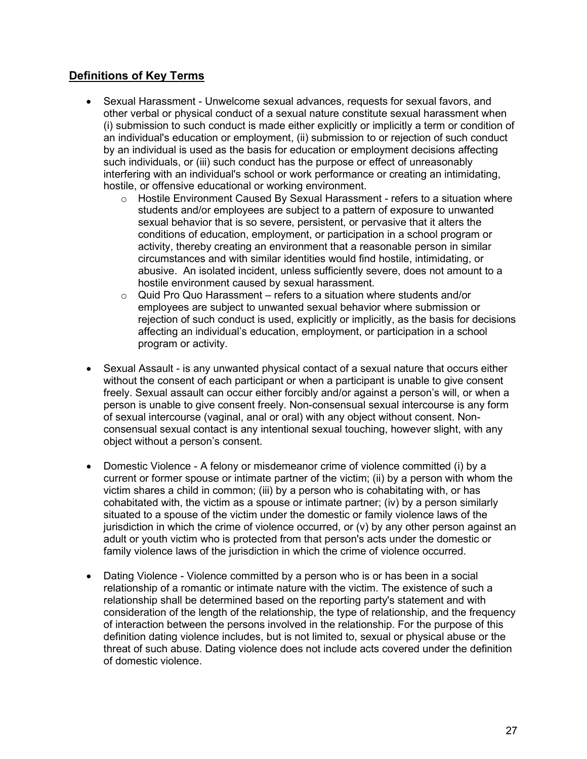## **Definitions of Key Terms**

- Sexual Harassment Unwelcome sexual advances, requests for sexual favors, and other verbal or physical conduct of a sexual nature constitute sexual harassment when (i) submission to such conduct is made either explicitly or implicitly a term or condition of an individual's education or employment, (ii) submission to or rejection of such conduct by an individual is used as the basis for education or employment decisions affecting such individuals, or (iii) such conduct has the purpose or effect of unreasonably interfering with an individual's school or work performance or creating an intimidating, hostile, or offensive educational or working environment.
	- $\circ$  Hostile Environment Caused By Sexual Harassment refers to a situation where students and/or [employees](http://encyclopedia.thefreedictionary.com/Employment) are subject to a pattern of exposure to unwanted sexual behavior that is so severe, persistent, or pervasive that it alters the conditions of education, employment, or participation in a school program or activity, thereby creating an environment that a reasonable person in similar circumstances and with similar identities would find hostile, intimidating, or abusive. An isolated incident, unless sufficiently severe, does not amount to a hostile environment caused by sexual harassment.
	- o Quid Pro Quo Harassment refers to a situation where students and/or employees are subject to unwanted sexual behavior where submission or rejection of such conduct is used, explicitly or implicitly, as the basis for decisions affecting an individual's education, employment, or participation in a school program or activity.
- Sexual Assault is any unwanted physical contact of a sexual nature that occurs either without the consent of each participant or when a participant is unable to give consent freely. Sexual assault can occur either forcibly and/or against a person's will, or when a person is unable to give consent freely. Non-consensual sexual intercourse is any form of sexual intercourse (vaginal, anal or oral) with any object without consent. Nonconsensual sexual contact is any intentional sexual touching, however slight, with any object without a person's consent.
- Domestic Violence A felony or misdemeanor crime of violence committed (i) by a current or former spouse or intimate partner of the victim; (ii) by a person with whom the victim shares a child in common; (iii) by a person who is cohabitating with, or has cohabitated with, the victim as a spouse or intimate partner; (iv) by a person similarly situated to a spouse of the victim under the domestic or family violence laws of the jurisdiction in which the crime of violence occurred, or (v) by any other person against an adult or youth victim who is protected from that person's acts under the domestic or family violence laws of the jurisdiction in which the crime of violence occurred.
- Dating Violence Violence committed by a person who is or has been in a social relationship of a romantic or intimate nature with the victim. The existence of such a relationship shall be determined based on the reporting party's statement and with consideration of the length of the relationship, the type of relationship, and the frequency of interaction between the persons involved in the relationship. For the purpose of this definition dating violence includes, but is not limited to, sexual or physical abuse or the threat of such abuse. Dating violence does not include acts covered under the definition of domestic violence.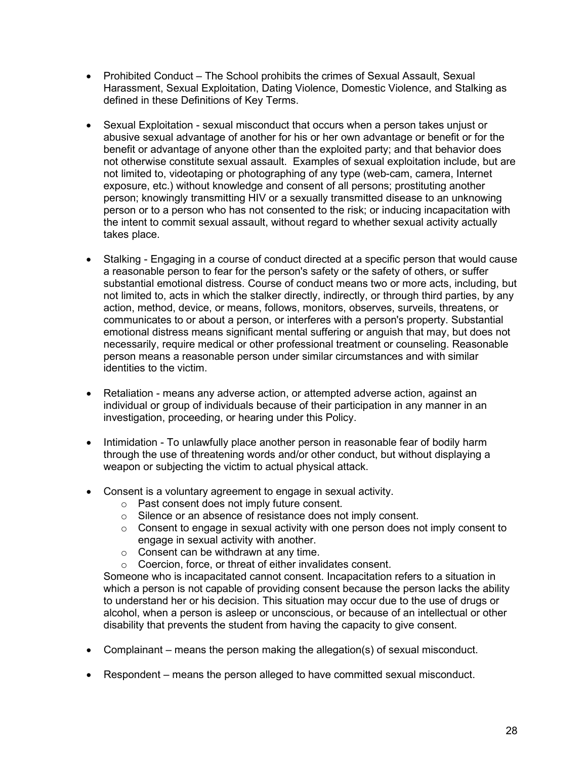- Prohibited Conduct The School prohibits the crimes of Sexual Assault, Sexual Harassment, Sexual Exploitation, Dating Violence, Domestic Violence, and Stalking as defined in these Definitions of Key Terms.
- Sexual Exploitation sexual misconduct that occurs when a person takes unjust or abusive sexual advantage of another for his or her own advantage or benefit or for the benefit or advantage of anyone other than the exploited party; and that behavior does not otherwise constitute sexual assault. Examples of sexual exploitation include, but are not limited to, videotaping or photographing of any type (web-cam, camera, Internet exposure, etc.) without knowledge and consent of all persons; prostituting another person; knowingly transmitting HIV or a sexually transmitted disease to an unknowing person or to a person who has not consented to the risk; or inducing incapacitation with the intent to commit sexual assault, without regard to whether sexual activity actually takes place.
- Stalking Engaging in a course of conduct directed at a specific person that would cause a reasonable person to fear for the person's safety or the safety of others, or suffer substantial emotional distress. Course of conduct means two or more acts, including, but not limited to, acts in which the stalker directly, indirectly, or through third parties, by any action, method, device, or means, follows, monitors, observes, surveils, threatens, or communicates to or about a person, or interferes with a person's property. Substantial emotional distress means significant mental suffering or anguish that may, but does not necessarily, require medical or other professional treatment or counseling. Reasonable person means a reasonable person under similar circumstances and with similar identities to the victim.
- Retaliation means any adverse action, or attempted adverse action, against an individual or group of individuals because of their participation in any manner in an investigation, proceeding, or hearing under this Policy.
- Intimidation To unlawfully place another person in reasonable fear of bodily harm through the use of threatening words and/or other conduct, but without displaying a weapon or subjecting the victim to actual physical attack.
- Consent is a voluntary agreement to engage in sexual activity.
	- o Past consent does not imply future consent.
	- o Silence or an absence of resistance does not imply consent.
	- $\circ$  Consent to engage in sexual activity with one person does not imply consent to engage in sexual activity with another.
	- $\circ$  Consent can be withdrawn at any time.
	- o Coercion, force, or threat of either invalidates consent.

Someone who is incapacitated cannot consent. Incapacitation refers to a situation in which a person is not capable of providing consent because the person lacks the ability to understand her or his decision. This situation may occur due to the use of drugs or alcohol, when a person is asleep or unconscious, or because of an intellectual or other disability that prevents the student from having the capacity to give consent.

- Complainant means the person making the allegation(s) of sexual misconduct.
- Respondent means the person alleged to have committed sexual misconduct.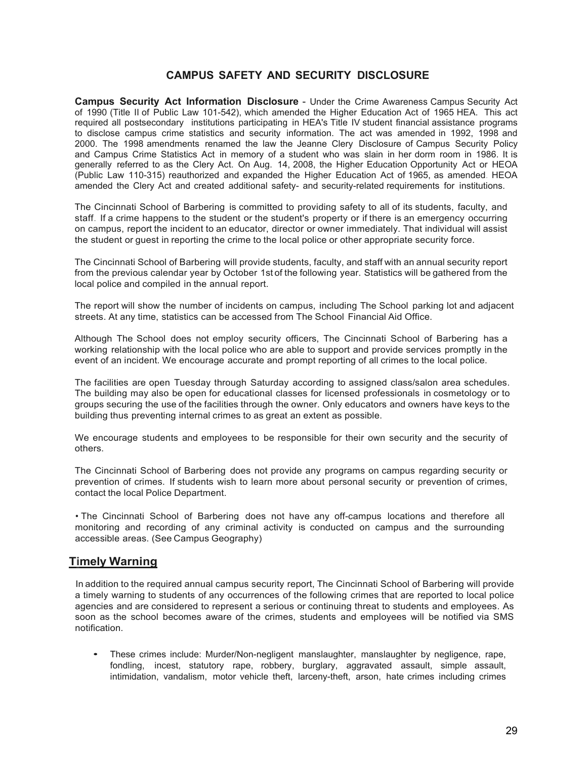### **CAMPUS SAFETY AND SECURITY DISCLOSURE**

**Campus Security Act Information Disclosure** - Under the Crime Awareness Campus Security Act of 1990 (Title II of Public Law 101-542), which amended the Higher Education Act of 1965 HEA. This act required all postsecondary institutions participating in HEA's Title IV student financial assistance programs to disclose campus crime statistics and security information. The act was amended in 1992, 1998 and 2000. The 1998 amendments renamed the law the Jeanne Clery Disclosure of Campus Security Policy and Campus Crime Statistics Act in memory of a student who was slain in her dorm room in 1986. It is generally referred to as the Clery Act. On Aug. 14, 2008, the Higher Education Opportunity Act or HEOA (Public Law 110-315) reauthorized and expanded the Higher Education Act of 1965, as amended. HEOA amended the Clery Act and created additional safety- and security-related requirements for institutions.

The Cincinnati School of Barbering is committed to providing safety to all of its students, faculty, and staff. If a crime happens to the student or the student's property or if there is an emergency occurring on campus, report the incident to an educator, director or owner immediately. That individual will assist the student or guest in reporting the crime to the local police or other appropriate security force.

The Cincinnati School of Barbering will provide students, faculty, and staff with an annual security report from the previous calendar year by October 1st of the following year. Statistics will be gathered from the local police and compiled in the annual report.

The report will show the number of incidents on campus, including The School parking lot and adjacent streets. At any time, statistics can be accessed from The School Financial Aid Office.

Although The School does not employ security officers, The Cincinnati School of Barbering has a working relationship with the local police who are able to support and provide services promptly in the event of an incident. We encourage accurate and prompt reporting of all crimes to the local police.

The facilities are open Tuesday through Saturday according to assigned class/salon area schedules. The building may also be open for educational classes for licensed professionals in cosmetology or to groups securing the use of the facilities through the owner. Only educators and owners have keys to the building thus preventing internal crimes to as great an extent as possible.

We encourage students and employees to be responsible for their own security and the security of others.

The Cincinnati School of Barbering does not provide any programs on campus regarding security or prevention of crimes. If students wish to learn more about personal security or prevention of crimes, contact the local Police Department.

• The Cincinnati School of Barbering does not have any off-campus locations and therefore all monitoring and recording of any criminal activity is conducted on campus and the surrounding accessible areas. (See Campus Geography)

### **Timely Warning**

In addition to the required annual campus security report, The Cincinnati School of Barbering will provide a timely warning to students of any occurrences of the following crimes that are reported to local police agencies and are considered to represent a serious or continuing threat to students and employees. As soon as the school becomes aware of the crimes, students and employees will be notified via SMS notification.

• These crimes include: Murder/Non-negligent manslaughter, manslaughter by negligence, rape, fondling, incest, statutory rape, robbery, burglary, aggravated assault, simple assault, intimidation, vandalism, motor vehicle theft, larceny-theft, arson, hate crimes including crimes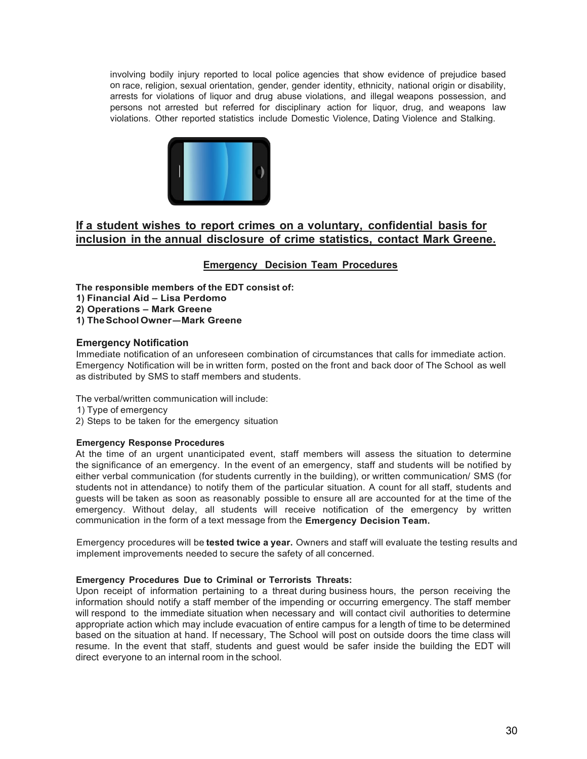involving bodily injury reported to local police agencies that show evidence of prejudice based on race, religion, sexual orientation, gender, gender identity, ethnicity, national origin or disability, arrests for violations of liquor and drug abuse violations, and illegal weapons possession, and persons not arrested but referred for disciplinary action for liquor, drug, and weapons law violations. Other reported statistics include Domestic Violence, Dating Violence and Stalking.



## **If a student wishes to report crimes on a voluntary, confidential basis for inclusion in the annual disclosure of crime statistics, contact Mark Greene.**

### **Emergency Decision Team Procedures**

**The responsible members of the EDT consist of:**

**1) Financial Aid – Lisa Perdomo**

**2) Operations – Mark Greene**

**1) TheSchool Owner–Mark Greene**

#### **Emergency Notification**

Immediate notification of an unforeseen combination of circumstances that calls for immediate action. Emergency Notification will be in written form, posted on the front and back door of The School as well as distributed by SMS to staff members and students.

The verbal/written communication will include:

1) Type of emergency

2) Steps to be taken for the emergency situation

#### **Emergency Response Procedures**

At the time of an urgent unanticipated event, staff members will assess the situation to determine the significance of an emergency. In the event of an emergency, staff and students will be notified by either verbal communication (for students currently in the building), or written communication/ SMS (for students not in attendance) to notify them of the particular situation. A count for all staff, students and guests will be taken as soon as reasonably possible to ensure all are accounted for at the time of the emergency. Without delay, all students will receive notification of the emergency by written communication in the form of a text message from the **Emergency Decision Team.**

Emergency procedures will be **tested twice a year.** Owners and staff will evaluate the testing results and implement improvements needed to secure the safety of all concerned.

#### **Emergency Procedures Due to Criminal or Terrorists Threats:**

Upon receipt of information pertaining to a threat during business hours, the person receiving the information should notify a staff member of the impending or occurring emergency. The staff member will respond to the immediate situation when necessary and will contact civil authorities to determine appropriate action which may include evacuation of entire campus for a length of time to be determined based on the situation at hand. If necessary, The School will post on outside doors the time class will resume. In the event that staff, students and guest would be safer inside the building the EDT will direct everyone to an internal room in the school.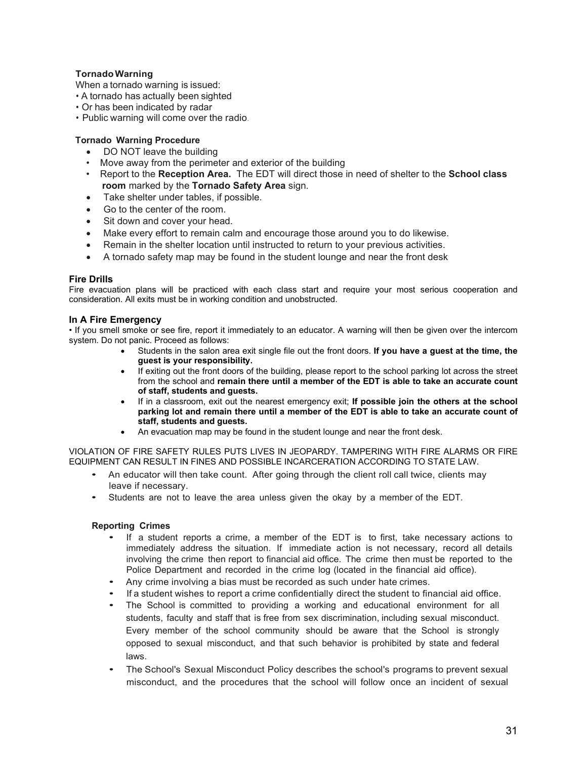#### **TornadoWarning**

When a tornado warning is issued:

- A tornado has actually been sighted
- Or has been indicated by radar
- Public warning will come over the radio.

### **Tornado Warning Procedure**

- DO NOT leave the building
- Move away from the perimeter and exterior of the building
- Report to the **Reception Area.** The EDT will direct those in need of shelter to the **School class room** marked by the **Tornado Safety Area** sign.
- Take shelter under tables, if possible.
- Go to the center of the room.
- Sit down and cover your head.
- Make every effort to remain calm and encourage those around you to do likewise.
- Remain in the shelter location until instructed to return to your previous activities.
- A tornado safety map may be found in the student lounge and near the front desk

#### **Fire Drills**

Fire evacuation plans will be practiced with each class start and require your most serious cooperation and consideration. All exits must be in working condition and unobstructed.

#### **In A Fire Emergency**

• If you smell smoke or see fire, report it immediately to an educator. A warning will then be given over the intercom system. Do not panic. Proceed as follows:

- Students in the salon area exit single file out the front doors. **If you have a guest at the time, the guest is your responsibility.**
- If exiting out the front doors of the building, please report to the school parking lot across the street from the school and **remain there until a member of the EDT is able to take an accurate count of staff, students and guests.**
- If in a classroom, exit out the nearest emergency exit; **If possible join the others at the school parking lot and remain there until a member of the EDT is able to take an accurate count of staff, students and guests.**
- An evacuation map may be found in the student lounge and near the front desk.

VIOLATION OF FIRE SAFETY RULES PUTS LIVES IN JEOPARDY. TAMPERING WITH FIRE ALARMS OR FIRE EQUIPMENT CAN RESULT IN FINES AND POSSIBLE INCARCERATION ACCORDING TO STATE LAW.

- An educator will then take count. After going through the client roll call twice, clients may leave if necessary.
- Students are not to leave the area unless given the okay by a member of the EDT.

#### **Reporting Crimes**

- If a student reports a crime, a member of the EDT is to first, take necessary actions to immediately address the situation. If immediate action is not necessary, record all details involving the crime then report to financial aid office. The crime then must be reported to the Police Department and recorded in the crime log (located in the financial aid office).
- Any crime involving <sup>a</sup> bias must be recorded as such under hate crimes.
- If <sup>a</sup> student wishes to report <sup>a</sup> crime confidentially direct the student to financial aid office.
- The School is committed to providing <sup>a</sup> working and educational environment for all students, faculty and staff that is free from sex discrimination, including sexual misconduct. Every member of the school community should be aware that the School is strongly opposed to sexual misconduct, and that such behavior is prohibited by state and federal laws.
- The School's Sexual Misconduct Policy describes the school's programs to prevent sexual misconduct, and the procedures that the school will follow once an incident of sexual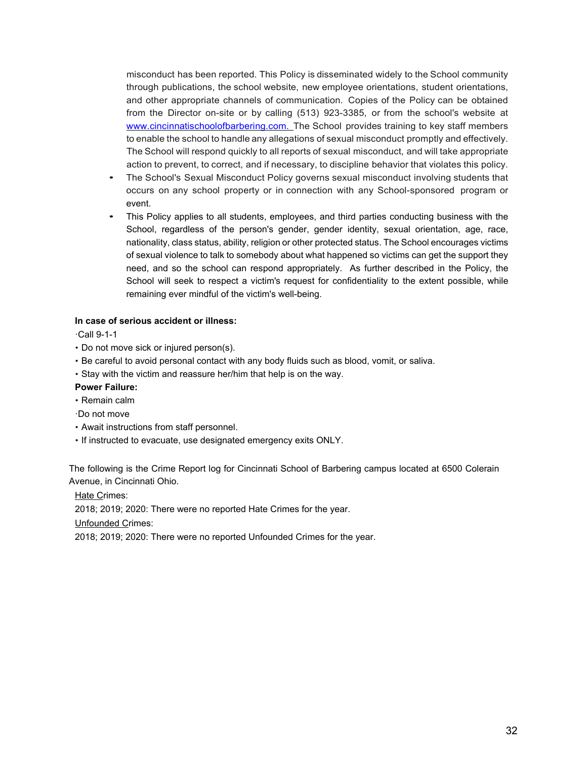misconduct has been reported. This Policy is disseminated widely to the School community through publications, the school website, new employee orientations, student orientations, and other appropriate channels of communication. Copies of the Policy can be obtained from the Director on-site or by calling (513) 923-3385, or from the school's website at www.cincinnatischoolofbarbering.com. The School provides training to key staff members to enable the school to handle any allegations of sexual misconduct promptly and effectively. The School will respond quickly to all reports of sexual misconduct, and will take appropriate action to prevent, to correct, and if necessary, to discipline behavior that violates this policy.

- The School's Sexual Misconduct Policy governs sexual misconduct involving students that occurs on any school property or in connection with any School-sponsored program or event.
- This Policy applies to all students, employees, and third parties conducting business with the School, regardless of the person's gender, gender identity, sexual orientation, age, race, nationality, class status, ability, religion or other protected status. The School encourages victims of sexual violence to talk to somebody about what happened so victims can get the support they need, and so the school can respond appropriately. As further described in the Policy, the School will seek to respect a victim's request for confidentiality to the extent possible, while remaining ever mindful of the victim's well-being.

#### **In case of serious accident or illness:**

·Call 9-1-1

- Do not move sick or injured person(s).
- Be careful to avoid personal contact with any body fluids such as blood, vomit, or saliva.
- Stay with the victim and reassure her/him that help is on the way.

#### **Power Failure:**

- Remain calm
- ·Do not move
- Await instructions from staff personnel.
- If instructed to evacuate, use designated emergency exits ONLY.

The following is the Crime Report log for Cincinnati School of Barbering campus located at 6500 Colerain Avenue, in Cincinnati Ohio.

**Hate Crimes:** 

2018; 2019; 2020: There were no reported Hate Crimes for the year.

Unfounded Crimes:

2018; 2019; 2020: There were no reported Unfounded Crimes for the year.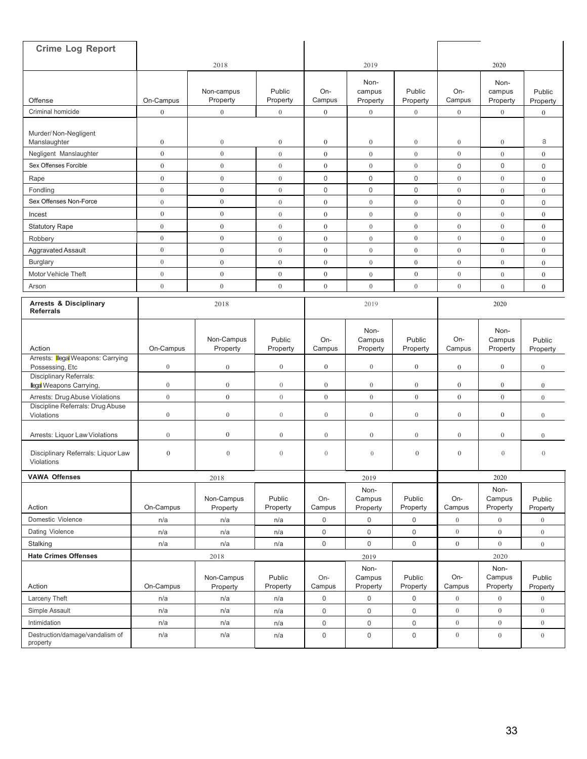| <b>Crime Log Report</b>                                    |                  |                        |                    |                     |                            |                     |                  |                            |                    |  |
|------------------------------------------------------------|------------------|------------------------|--------------------|---------------------|----------------------------|---------------------|------------------|----------------------------|--------------------|--|
|                                                            | 2018             |                        |                    | 2019                |                            |                     | 2020             |                            |                    |  |
| Offense                                                    | On-Campus        | Non-campus<br>Property | Public<br>Property | On-<br>Campus       | Non-<br>campus<br>Property | Public<br>Property  | On-<br>Campus    | Non-<br>campus<br>Property | Public<br>Property |  |
| Criminal homicide                                          | $\mathbf{0}$     | $\mathbf{0}$           | $\mathbf{0}$       | $\mathbf{0}$        | $\overline{0}$             | $\boldsymbol{0}$    | $\overline{0}$   | $\overline{0}$             | $\overline{0}$     |  |
| Murder/Non-Negligent<br>Manslaughter                       | $\boldsymbol{0}$ | $\boldsymbol{0}$       | $\mathbf{0}$       | $\boldsymbol{0}$    | $\mathbf{0}$               | $\overline{0}$      | $\boldsymbol{0}$ | $\overline{0}$             | a                  |  |
| Negligent Manslaughter                                     | $\boldsymbol{0}$ | $\boldsymbol{0}$       | $\boldsymbol{0}$   | $\overline{0}$      | $\mathbf{0}$               | $\boldsymbol{0}$    | $\boldsymbol{0}$ | $\overline{0}$             | $\overline{0}$     |  |
| Sex Offenses Forcible                                      | $\boldsymbol{0}$ | $\boldsymbol{0}$       | $\boldsymbol{0}$   | $\mathbf{0}$        | $\mathbf{0}$               | $\boldsymbol{0}$    | $\mathbf 0$      | $\mathsf{O}\xspace$        | 0                  |  |
| Rape                                                       | $\mathbf{0}$     | $\boldsymbol{0}$       | $\mathbf{0}$       | $\mathbf 0$         | $\mathbf 0$                | $\mathbf 0$         | $\overline{0}$   | $\mathbf{0}$               | $\overline{0}$     |  |
| Fondling                                                   | $\boldsymbol{0}$ | $\boldsymbol{0}$       | $\mathbf{0}$       | $\mathbf 0$         | $\mathbf 0$                | $\mathbf 0$         | $\overline{0}$   | $\mathbf{0}$               | $\boldsymbol{0}$   |  |
| Sex Offenses Non-Force                                     | $\boldsymbol{0}$ | $\boldsymbol{0}$       | $\mathbf{0}$       | $\mathbf{0}$        | $\boldsymbol{0}$           | $\boldsymbol{0}$    | $\mathbf 0$      | $\mathsf{O}\xspace$        | $\mathbf 0$        |  |
| Incest                                                     | $\boldsymbol{0}$ | $\boldsymbol{0}$       | $\mathbf{0}$       | $\mathbf{0}$        | $\overline{0}$             | $\mathbf{0}$        | $\boldsymbol{0}$ | $\overline{0}$             | $\overline{0}$     |  |
| <b>Statutory Rape</b>                                      | $\mathbf{0}$     | $\boldsymbol{0}$       | $\mathbf{0}$       | $\mathbf{0}$        | $\overline{0}$             | $\mathbf{0}$        | $\boldsymbol{0}$ | $\overline{0}$             | $\boldsymbol{0}$   |  |
| Robbery                                                    | $\mathbf{0}$     | $\mathbf{0}$           | $\mathbf{0}$       | $\mathbf{0}$        | $\overline{0}$             | $\overline{0}$      | $\mathbf{0}$     | $\mathbf{0}$               | $\overline{0}$     |  |
| <b>Aggravated Assault</b>                                  | $\boldsymbol{0}$ | $\boldsymbol{0}$       | $\mathbf{0}$       | $\mathbf{0}$        | $\overline{0}$             | $\mathbf{0}$        | $\mathbf{0}$     | $\boldsymbol{0}$           | $\boldsymbol{0}$   |  |
| <b>Burglary</b>                                            | $\boldsymbol{0}$ | $\boldsymbol{0}$       | $\mathbf{0}$       | $\mathbf{0}$        | $\boldsymbol{0}$           | $\overline{0}$      | $\mathbf{0}$     | $\overline{0}$             | $\boldsymbol{0}$   |  |
| Motor Vehicle Theft                                        | $\boldsymbol{0}$ | $\boldsymbol{0}$       | $\mathbf{0}$       | $\mathbf{0}$        | $\boldsymbol{0}$           | $\mathbf{0}$        | $\mathbf{0}$     | $\boldsymbol{0}$           | $\boldsymbol{0}$   |  |
| Arson                                                      | $\mathbf{0}$     | $\overline{0}$         | $\mathbf{0}$       | $\mathbf{0}$        | $\mathbf{0}$               | $\overline{0}$      | $\mathbf{0}$     | $\theta$                   | $\boldsymbol{0}$   |  |
| <b>Arrests &amp; Disciplinary</b><br><b>Referrals</b>      | 2018             |                        |                    | 2019                |                            |                     | 2020             |                            |                    |  |
|                                                            |                  | Non-Campus<br>Property | Public             | On-                 | Non-<br>Campus             | Public              | On-              | Non-<br>Campus             | Public             |  |
| Action<br>Arrests: <i>Illegal</i> Weapons: Carrying        | On-Campus        |                        | Property           | Campus              | Property                   | Property            | Campus           | Property                   | Property           |  |
| Possessing, Etc                                            | $\boldsymbol{0}$ | $\mathbf{0}$           | $\mathbf{0}$       | $\boldsymbol{0}$    | $\boldsymbol{0}$           | $\mathbf{0}$        | $\mathbf{0}$     | $\overline{0}$             | $\boldsymbol{0}$   |  |
| <b>Disciplinary Referrals:</b><br>llegal Weapons Carrying, | $\boldsymbol{0}$ | $\mathbf{0}$           | $\overline{0}$     | $\boldsymbol{0}$    | $\mathbf{0}$               | $\mathbf{0}$        | $\overline{0}$   | $\boldsymbol{0}$           | $\overline{0}$     |  |
| Arrests: Drug Abuse Violations                             | $\mathbf{0}$     | $\mathbf{0}$           | $\overline{0}$     | $\boldsymbol{0}$    | $\mathbf{0}$               | $\mathbf{0}$        | $\boldsymbol{0}$ | $\mathbf{0}$               | $\boldsymbol{0}$   |  |
| Discipline Referrals: Drug Abuse<br>Violations             | $\boldsymbol{0}$ | $\mathbf{0}$           | $\mathbf{0}$       | $\boldsymbol{0}$    | $\mathbf{0}$               | $\mathbf{0}$        | $\mathbf{0}$     | $\boldsymbol{0}$           | $\overline{0}$     |  |
| Arrests: Liquor Law Violations                             | $\mathbf{0}$     | $\boldsymbol{0}$       | $\mathbf{0}$       | $\boldsymbol{0}$    | $\boldsymbol{0}$           | $\mathbf{0}$        | $\mathbf{0}$     | $\overline{0}$             | $\overline{0}$     |  |
|                                                            |                  |                        |                    |                     |                            |                     |                  |                            |                    |  |
| Disciplinary Referrals: Liquor Law<br>Violations           | $\boldsymbol{0}$ | $\boldsymbol{0}$       | $\theta$           | $\mathbf{0}$        | $\mathbf{0}$               | $\boldsymbol{0}$    | $\boldsymbol{0}$ | $\mathbf{0}$               | $\boldsymbol{0}$   |  |
| <b>VAWA Offenses</b>                                       |                  | 2018                   |                    |                     | 2019                       |                     |                  | 2020                       |                    |  |
| Action                                                     | On-Campus        | Non-Campus<br>Property | Public<br>Property | On-<br>Campus       | Non-<br>Campus<br>Property | Public<br>Property  | On-<br>Campus    | Non-<br>Campus<br>Property | Public<br>Property |  |
| Domestic Violence                                          | n/a              | n/a                    | n/a                | $\mathbf 0$         | $\mathsf{O}\xspace$        | $\mathsf{0}$        | $\boldsymbol{0}$ | $\boldsymbol{0}$           | $\overline{0}$     |  |
| Dating Violence                                            | n/a              | n/a                    | n/a                | $\mathsf{O}\xspace$ | 0                          | $\mathsf{O}\xspace$ | $\overline{0}$   | $\overline{0}$             | $\overline{0}$     |  |
| Stalking                                                   | n/a              | n/a                    | n/a                | $\mathsf{O}\xspace$ | $\mathsf{O}$               | $\mathbf 0$         | $\mathbf{0}$     | $\overline{0}$             | $\overline{0}$     |  |
| <b>Hate Crimes Offenses</b>                                |                  | 2018                   |                    |                     | 2019                       |                     | 2020             |                            |                    |  |
| Action                                                     | On-Campus        | Non-Campus<br>Property | Public<br>Property | On-<br>Campus       | Non-<br>Campus<br>Property | Public<br>Property  | On-<br>Campus    | Non-<br>Campus<br>Property | Public<br>Property |  |
| Larceny Theft                                              | n/a              | n/a                    | n/a                | $\boldsymbol{0}$    | $\mathsf{O}\xspace$        | 0                   | $\boldsymbol{0}$ | $\boldsymbol{0}$           | $\overline{0}$     |  |
| Simple Assault                                             | n/a              | n/a                    | n/a                | $\mathbf 0$         | $\mathsf{O}\xspace$        | $\mathsf{O}\xspace$ | $\overline{0}$   | $\boldsymbol{0}$           | $\overline{0}$     |  |
| Intimidation                                               | n/a              | n/a                    | n/a                | $\mathbf 0$         | $\mathsf{O}\xspace$        | $\mathsf{O}\xspace$ | $\boldsymbol{0}$ | $\boldsymbol{0}$           | $\boldsymbol{0}$   |  |
| Destruction/damage/vandalism of<br>property                | n/a              | n/a                    | n/a                | $\mathbf 0$         | $\mathsf{O}\xspace$        | $\mathsf{O}\xspace$ | $\overline{0}$   | $\boldsymbol{0}$           | $\overline{0}$     |  |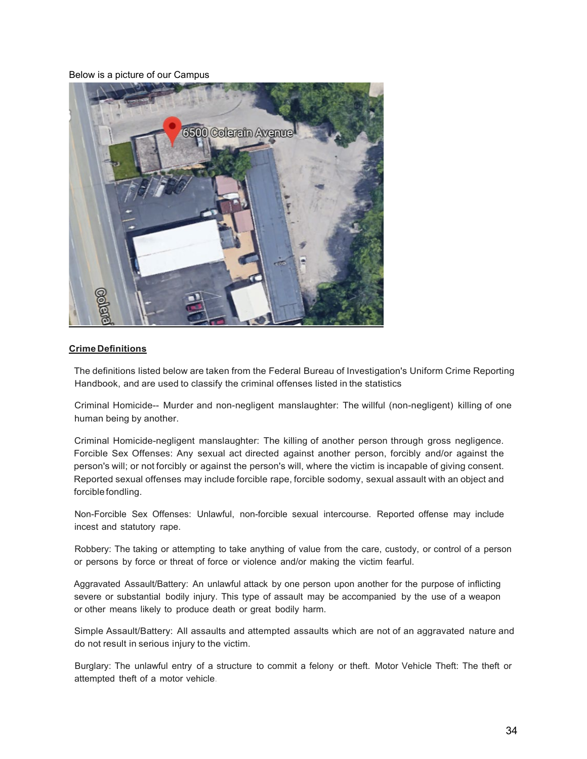#### Below is a picture of our Campus



#### **Crime Definitions**

The definitions listed below are taken from the Federal Bureau of Investigation's Uniform Crime Reporting Handbook, and are used to classify the criminal offenses listed in the statistics

Criminal Homicide-- Murder and non-negligent manslaughter: The willful (non-negligent) killing of one human being by another.

Criminal Homicide-negligent manslaughter: The killing of another person through gross negligence. Forcible Sex Offenses: Any sexual act directed against another person, forcibly and/or against the person's will; or not forcibly or against the person's will, where the victim is incapable of giving consent. Reported sexual offenses may include forcible rape, forcible sodomy, sexual assault with an object and forcible fondling.

Non-Forcible Sex Offenses: Unlawful, non-forcible sexual intercourse. Reported offense may include incest and statutory rape.

Robbery: The taking or attempting to take anything of value from the care, custody, or control of a person or persons by force or threat of force or violence and/or making the victim fearful.

Aggravated Assault/Battery: An unlawful attack by one person upon another for the purpose of inflicting severe or substantial bodily injury. This type of assault may be accompanied by the use of a weapon or other means likely to produce death or great bodily harm.

Simple Assault/Battery: All assaults and attempted assaults which are not of an aggravated nature and do not result in serious injury to the victim.

Burglary: The unlawful entry of a structure to commit a felony or theft. Motor Vehicle Theft: The theft or attempted theft of a motor vehicle.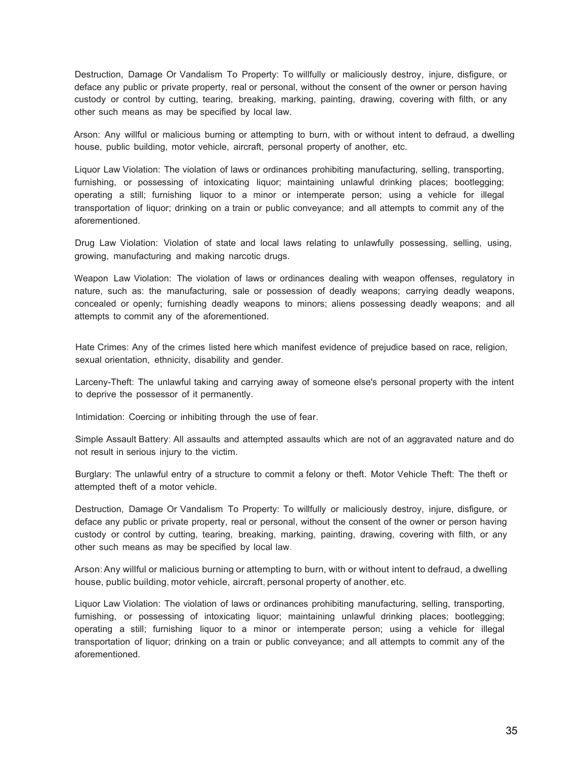Destruction, Damage Or Vandalism To Property: To willfully or maliciously destroy, injure, disfigure, or deface any public or private property, real or personal, without the consent of the owner or person having custody or control by cutting, tearing, breaking, marking, painting, drawing, covering with filth, or any other such means as may be specified by local law.

Arson: Any willful or malicious burning or attempting to burn, with or without intent to defraud, a dwelling house, public building, motor vehicle, aircraft, personal property of another, etc.

Liquor Law Violation: The violation of laws or ordinances prohibiting manufacturing, selling, transporting, furnishing, or possessing of intoxicating liquor; maintaining unlawful drinking places; bootlegging; operating a still; furnishing liquor to a minor or intemperate person; using a vehicle for illegal transportation of liquor; drinking on a train or public conveyance; and all attempts to commit any of the aforementioned.

Drug Law Violation: Violation of state and local laws relating to unlawfully possessing, selling, using, growing, manufacturing and making narcotic drugs.

Weapon Law Violation: The violation of laws or ordinances dealing with weapon offenses, regulatory in nature, such as: the manufacturing, sale or possession of deadly weapons; carrying deadly weapons, concealed or openly; furnishing deadly weapons to minors; aliens possessing deadly weapons; and all attempts to commit any of the aforementioned.

Hate Crimes: Any of the crimes listed here which manifest evidence of prejudice based on race, religion, sexual orientation, ethnicity, disability and gender.

Larceny-Theft: The unlawful taking and carrying away of someone else's personal property with the intent to deprive the possessor of it permanently.

Intimidation: Coercing or inhibiting through the use of fear.

Simple Assault Battery: All assaults and attempted assaults which are not of an aggravated nature and do not result in serious injury to the victim.

Burglary: The unlawful entry of a structure to commit a felony or theft. Motor Vehicle Theft: The theft or attempted theft of a motor vehicle.

Destruction, Damage Or Vandalism To Property: To willfully or maliciously destroy, injure, disfigure, or deface any public or private property, real or personal, without the consent of the owner or person having custody or control by cutting, tearing, breaking, marking, painting, drawing, covering with filth, or any other such means as may be specified by local law.

Arson:Any willful or malicious burning or attempting to burn, with or without intent to defraud, a dwelling house, public building, motor vehicle, aircraft, personal property of another, etc.

Liquor Law Violation: The violation of laws or ordinances prohibiting manufacturing, selling, transporting, furnishing, or possessing of intoxicating liquor; maintaining unlawful drinking places; bootlegging; operating a still; furnishing liquor to a minor or intemperate person; using a vehicle for illegal transportation of liquor; drinking on a train or public conveyance; and all attempts to commit any of the aforementioned.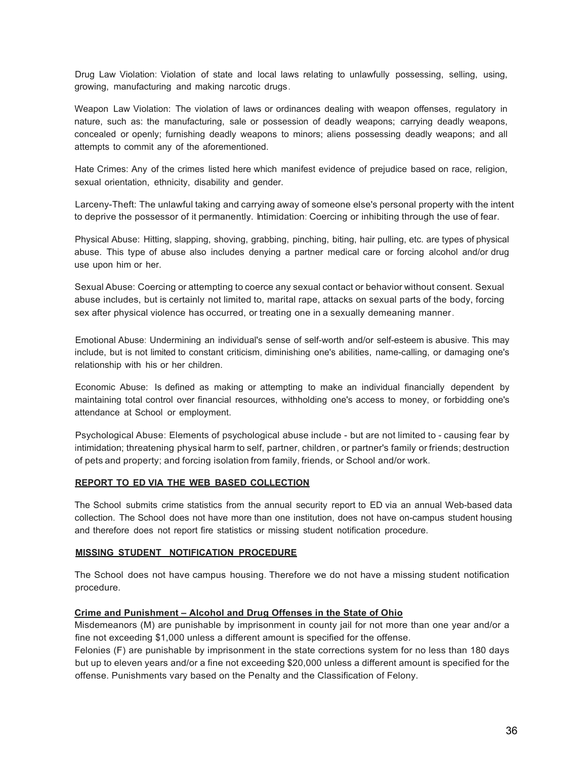Drug Law Violation: Violation of state and local laws relating to unlawfully possessing, selling, using, growing, manufacturing and making narcotic drugs.

Weapon Law Violation: The violation of laws or ordinances dealing with weapon offenses, regulatory in nature, such as: the manufacturing, sale or possession of deadly weapons; carrying deadly weapons, concealed or openly; furnishing deadly weapons to minors; aliens possessing deadly weapons; and all attempts to commit any of the aforementioned.

Hate Crimes: Any of the crimes listed here which manifest evidence of prejudice based on race, religion, sexual orientation, ethnicity, disability and gender.

Larceny-Theft: The unlawful taking and carrying away of someone else's personal property with the intent to deprive the possessor of it permanently. Intimidation: Coercing or inhibiting through the use of fear.

Physical Abuse: Hitting, slapping, shoving, grabbing, pinching, biting, hair pulling, etc. are types of physical abuse. This type of abuse also includes denying a partner medical care or forcing alcohol and/or drug use upon him or her.

Sexual Abuse: Coercing or attempting to coerce any sexual contact or behavior without consent. Sexual abuse includes, but is certainly not limited to, marital rape, attacks on sexual parts of the body, forcing sex after physical violence has occurred, or treating one in a sexually demeaning manner.

Emotional Abuse: Undermining an individual's sense of self-worth and/or self-esteem is abusive. This may include, but is not limited to constant criticism, diminishing one's abilities, name-calling, or damaging one's relationship with his or her children.

Economic Abuse: Is defined as making or attempting to make an individual financially dependent by maintaining total control over financial resources, withholding one's access to money, or forbidding one's attendance at School or employment.

Psychological Abuse: Elements of psychological abuse include - but are not limited to - causing fear by intimidation; threatening physical harm to self, partner, children, or partner's family or friends; destruction of pets and property; and forcing isolation from family, friends, or School and/or work.

#### **REPORT TO ED VIA THE WEB BASED COLLECTION**

The School submits crime statistics from the annual security report to ED via an annual Web-based data collection. The School does not have more than one institution, does not have on-campus student housing and therefore does not report fire statistics or missing student notification procedure.

#### **MISSING STUDENT NOTIFICATION PROCEDURE**

The School does not have campus housing. Therefore we do not have a missing student notification procedure.

#### **Crime and Punishment – Alcohol and Drug Offenses in the State of Ohio**

Misdemeanors (M) are punishable by imprisonment in county jail for not more than one year and/or a fine not exceeding \$1,000 unless a different amount is specified for the offense.

Felonies (F) are punishable by imprisonment in the state corrections system for no less than 180 days but up to eleven years and/or a fine not exceeding \$20,000 unless a different amount is specified for the offense. Punishments vary based on the Penalty and the Classification of Felony.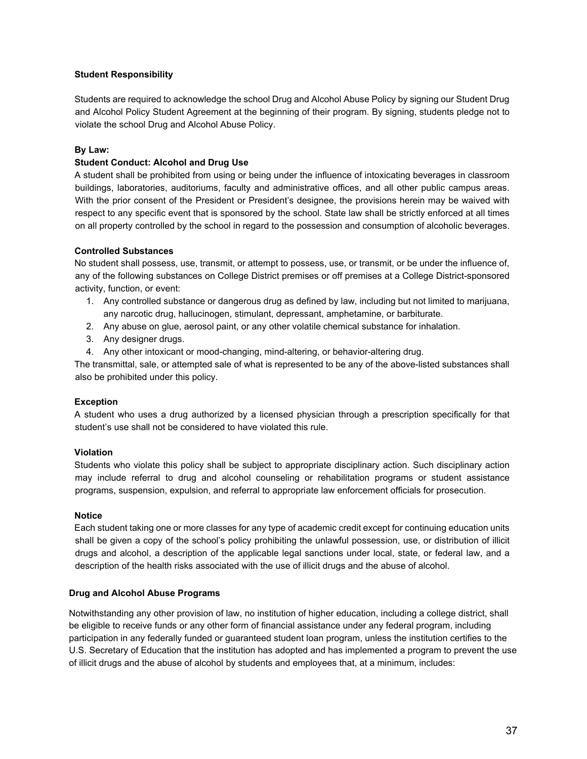#### **Student Responsibility**

Students are required to acknowledge the school Drug and Alcohol Abuse Policy by signing our Student Drug and Alcohol Policy Student Agreement at the beginning of their program. By signing, students pledge not to violate the school Drug and Alcohol Abuse Policy.

#### **By Law:**

#### **Student Conduct: Alcohol and Drug Use**

A student shall be prohibited from using or being under the influence of intoxicating beverages in classroom buildings, laboratories, auditoriums, faculty and administrative offices, and all other public campus areas. With the prior consent of the President or President's designee, the provisions herein may be waived with respect to any specific event that is sponsored by the school. State law shall be strictly enforced at all times on all property controlled by the school in regard to the possession and consumption of alcoholic beverages.

#### **Controlled Substances**

No student shall possess, use, transmit, or attempt to possess, use, or transmit, or be under the influence of, any of the following substances on College District premises or off premises at a College District-sponsored activity, function, or event:

- 1. Any controlled substance or dangerous drug as defined by law, including but not limited to marijuana, any narcotic drug, hallucinogen, stimulant, depressant, amphetamine, or barbiturate.
- 2. Any abuse on glue, aerosol paint, or any other volatile chemical substance for inhalation.
- 3. Any designer drugs.
- 4. Any other intoxicant or mood-changing, mind-altering, or behavior-altering drug.

The transmittal, sale, or attempted sale of what is represented to be any of the above-listed substances shall also be prohibited under this policy.

#### **Exception**

A student who uses a drug authorized by a licensed physician through a prescription specifically for that student's use shall not be considered to have violated this rule.

#### **Violation**

Students who violate this policy shall be subject to appropriate disciplinary action. Such disciplinary action may include referral to drug and alcohol counseling or rehabilitation programs or student assistance programs, suspension, expulsion, and referral to appropriate law enforcement officials for prosecution.

#### **Notice**

Each student taking one or more classes for any type of academic credit except for continuing education units shall be given a copy of the school's policy prohibiting the unlawful possession, use, or distribution of illicit drugs and alcohol, a description of the applicable legal sanctions under local, state, or federal law, and a description of the health risks associated with the use of illicit drugs and the abuse of alcohol.

#### **Drug and Alcohol Abuse Programs**

Notwithstanding any other provision of law, no institution of higher education, including a college district, shall be eligible to receive funds or any other form of financial assistance under any federal program, including participation in any federally funded or guaranteed student loan program, unless the institution certifies to the U.S. Secretary of Education that the institution has adopted and has implemented a program to prevent the use of illicit drugs and the abuse of alcohol by students and employees that, at a minimum, includes: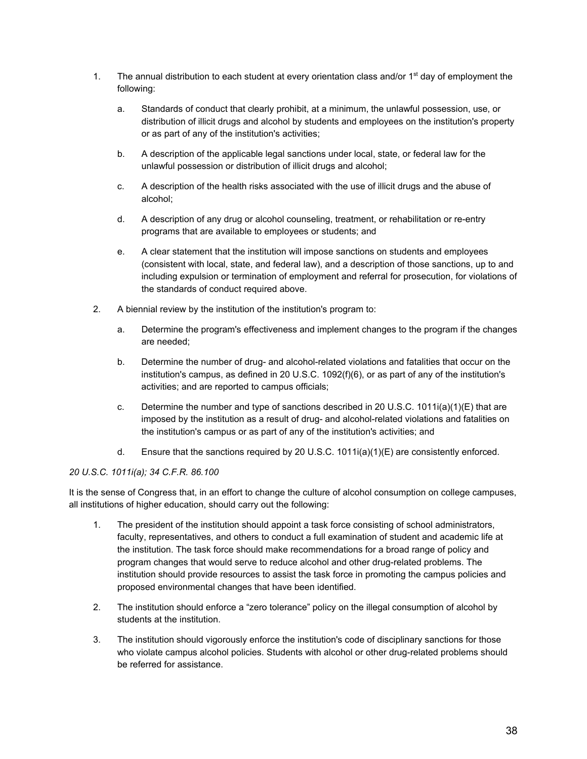- 1. The annual distribution to each student at every orientation class and/or  $1<sup>st</sup>$  day of employment the following:
	- a. Standards of conduct that clearly prohibit, at a minimum, the unlawful possession, use, or distribution of illicit drugs and alcohol by students and employees on the institution's property or as part of any of the institution's activities;
	- b. A description of the applicable legal sanctions under local, state, or federal law for the unlawful possession or distribution of illicit drugs and alcohol;
	- c. A description of the health risks associated with the use of illicit drugs and the abuse of alcohol;
	- d. A description of any drug or alcohol counseling, treatment, or rehabilitation or re-entry programs that are available to employees or students; and
	- e. A clear statement that the institution will impose sanctions on students and employees (consistent with local, state, and federal law), and a description of those sanctions, up to and including expulsion or termination of employment and referral for prosecution, for violations of the standards of conduct required above.
- 2. A biennial review by the institution of the institution's program to:
	- a. Determine the program's effectiveness and implement changes to the program if the changes are needed;
	- b. Determine the number of drug- and alcohol-related violations and fatalities that occur on the institution's campus, as defined in 20 U.S.C. 1092(f)(6), or as part of any of the institution's activities; and are reported to campus officials;
	- c. Determine the number and type of sanctions described in 20 U.S.C. 1011i(a)(1)(E) that are imposed by the institution as a result of drug- and alcohol-related violations and fatalities on the institution's campus or as part of any of the institution's activities; and
	- d. Ensure that the sanctions required by 20 U.S.C. 1011i(a)(1)(E) are consistently enforced.

### *20 U.S.C. 1011i(a); 34 C.F.R. 86.100*

It is the sense of Congress that, in an effort to change the culture of alcohol consumption on college campuses, all institutions of higher education, should carry out the following:

- 1. The president of the institution should appoint a task force consisting of school administrators, faculty, representatives, and others to conduct a full examination of student and academic life at the institution. The task force should make recommendations for a broad range of policy and program changes that would serve to reduce alcohol and other drug-related problems. The institution should provide resources to assist the task force in promoting the campus policies and proposed environmental changes that have been identified.
- 2. The institution should enforce a "zero tolerance" policy on the illegal consumption of alcohol by students at the institution.
- 3. The institution should vigorously enforce the institution's code of disciplinary sanctions for those who violate campus alcohol policies. Students with alcohol or other drug-related problems should be referred for assistance.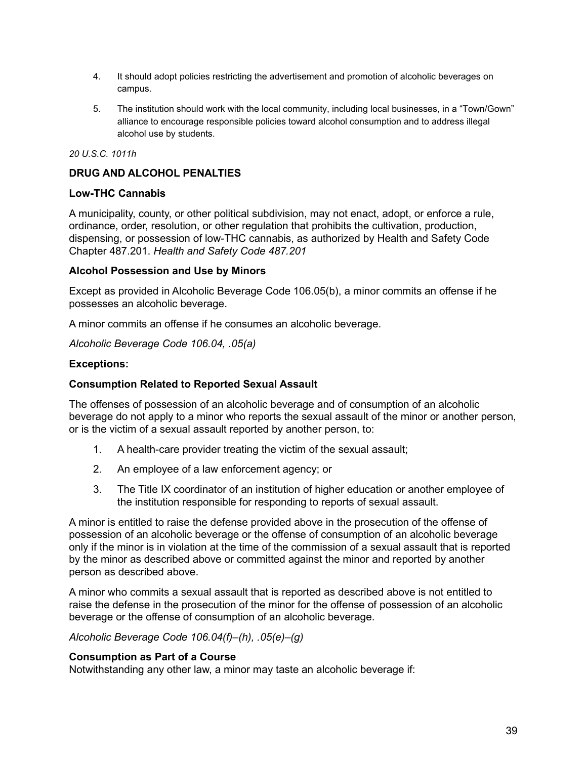- 4. It should adopt policies restricting the advertisement and promotion of alcoholic beverages on campus.
- 5. The institution should work with the local community, including local businesses, in a "Town/Gown" alliance to encourage responsible policies toward alcohol consumption and to address illegal alcohol use by students.

*20 U.S.C. 1011h*

### **DRUG AND ALCOHOL PENALTIES**

#### **Low-THC Cannabis**

A municipality, county, or other political subdivision, may not enact, adopt, or enforce a rule, ordinance, order, resolution, or other regulation that prohibits the cultivation, production, dispensing, or possession of low-THC cannabis, as authorized by Health and Safety Code Chapter 487.201. *Health and Safety Code 487.201*

#### **Alcohol Possession and Use by Minors**

Except as provided in Alcoholic Beverage Code 106.05(b), a minor commits an offense if he possesses an alcoholic beverage.

A minor commits an offense if he consumes an alcoholic beverage.

*Alcoholic Beverage Code 106.04, .05(a)*

#### **Exceptions:**

#### **Consumption Related to Reported Sexual Assault**

The offenses of possession of an alcoholic beverage and of consumption of an alcoholic beverage do not apply to a minor who reports the sexual assault of the minor or another person, or is the victim of a sexual assault reported by another person, to:

- 1. A health-care provider treating the victim of the sexual assault;
- 2. An employee of a law enforcement agency; or
- 3. The Title IX coordinator of an institution of higher education or another employee of the institution responsible for responding to reports of sexual assault.

A minor is entitled to raise the defense provided above in the prosecution of the offense of possession of an alcoholic beverage or the offense of consumption of an alcoholic beverage only if the minor is in violation at the time of the commission of a sexual assault that is reported by the minor as described above or committed against the minor and reported by another person as described above.

A minor who commits a sexual assault that is reported as described above is not entitled to raise the defense in the prosecution of the minor for the offense of possession of an alcoholic beverage or the offense of consumption of an alcoholic beverage.

#### *Alcoholic Beverage Code 106.04(f)*–*(h), .05(e)*–*(g)*

### **Consumption as Part of a Course**

Notwithstanding any other law, a minor may taste an alcoholic beverage if: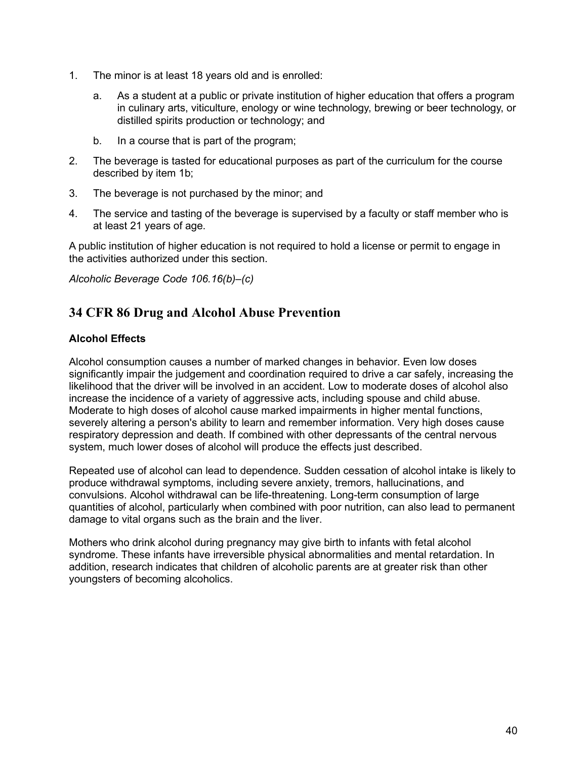- 1. The minor is at least 18 years old and is enrolled:
	- a. As a student at a public or private institution of higher education that offers a program in culinary arts, viticulture, enology or wine technology, brewing or beer technology, or distilled spirits production or technology; and
	- b. In a course that is part of the program;
- 2. The beverage is tasted for educational purposes as part of the curriculum for the course described by item 1b;
- 3. The beverage is not purchased by the minor; and
- 4. The service and tasting of the beverage is supervised by a faculty or staff member who is at least 21 years of age.

A public institution of higher education is not required to hold a license or permit to engage in the activities authorized under this section.

*Alcoholic Beverage Code 106.16(b)–(c)*

# **34 CFR 86 Drug and Alcohol Abuse Prevention**

## **Alcohol Effects**

Alcohol consumption causes a number of marked changes in behavior. Even low doses significantly impair the judgement and coordination required to drive a car safely, increasing the likelihood that the driver will be involved in an accident. Low to moderate doses of alcohol also increase the incidence of a variety of aggressive acts, including spouse and child abuse. Moderate to high doses of alcohol cause marked impairments in higher mental functions, severely altering a person's ability to learn and remember information. Very high doses cause respiratory depression and death. If combined with other depressants of the central nervous system, much lower doses of alcohol will produce the effects just described.

Repeated use of alcohol can lead to dependence. Sudden cessation of alcohol intake is likely to produce withdrawal symptoms, including severe anxiety, tremors, hallucinations, and convulsions. Alcohol withdrawal can be life-threatening. Long-term consumption of large quantities of alcohol, particularly when combined with poor nutrition, can also lead to permanent damage to vital organs such as the brain and the liver.

Mothers who drink alcohol during pregnancy may give birth to infants with fetal alcohol syndrome. These infants have irreversible physical abnormalities and mental retardation. In addition, research indicates that children of alcoholic parents are at greater risk than other youngsters of becoming alcoholics.